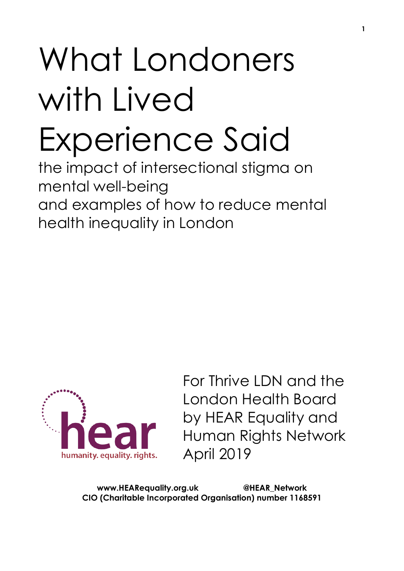# What Londoners with Lived Experience Said

the impact of intersectional stigma on mental well-being and examples of how to reduce mental health inequality in London



For Thrive LDN and the London Health Board by HEAR Equality and Human Rights Network April 2019

**www.HEARequality.org.uk @HEAR\_Network CIO (Charitable Incorporated Organisation) number 1168591**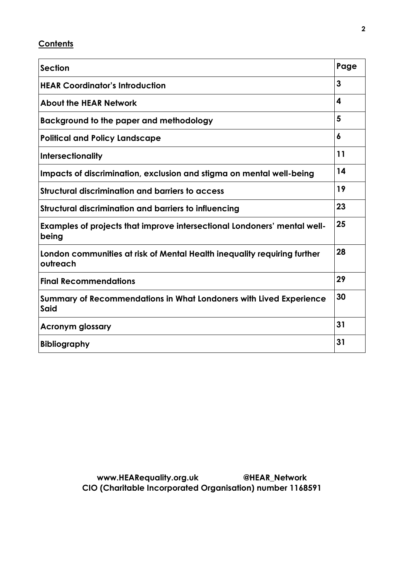## **Contents**

| <b>Section</b>                                                                       | Page |
|--------------------------------------------------------------------------------------|------|
| <b>HEAR Coordinator's Introduction</b>                                               | 3    |
| <b>About the HEAR Network</b>                                                        | 4    |
| Background to the paper and methodology                                              | 5    |
| <b>Political and Policy Landscape</b>                                                | 6    |
| <b>Intersectionality</b>                                                             | 11   |
| Impacts of discrimination, exclusion and stigma on mental well-being                 | 14   |
| <b>Structural discrimination and barriers to access</b>                              | 19   |
| Structural discrimination and barriers to influencing                                | 23   |
| Examples of projects that improve intersectional Londoners' mental well-<br>being    | 25   |
| London communities at risk of Mental Health inequality requiring further<br>outreach | 28   |
| <b>Final Recommendations</b>                                                         | 29   |
| Summary of Recommendations in What Londoners with Lived Experience<br><b>Said</b>    |      |
| <b>Acronym glossary</b>                                                              | 31   |
| <b>Bibliography</b>                                                                  | 31   |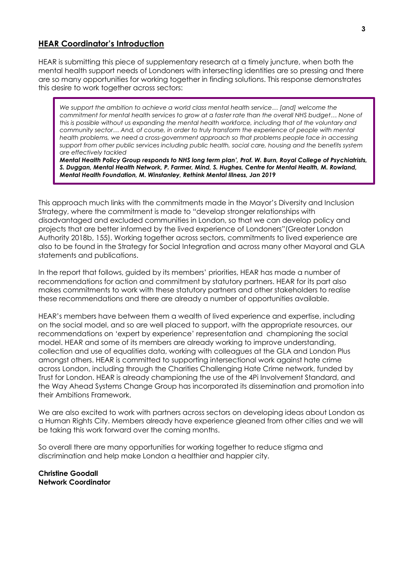#### **HEAR Coordinator's Introduction**

HEAR is submitting this piece of supplementary research at a timely juncture, when both the mental health support needs of Londoners with intersecting identities are so pressing and there are so many opportunities for working together in finding solutions. This response demonstrates this desire to work together across sectors:

*We support the ambition to achieve a world class mental health service… [and] welcome the commitment for mental health services to grow at a faster rate than the overall NHS budget… None of this is possible without us expanding the mental health workforce, including that of the voluntary and community sector… And, of course, in order to truly transform the experience of people with mental health problems, we need a cross-government approach so that problems people face in accessing support from other public services including public health, social care, housing and the benefits system are effectively tackled*

*Mental Health Policy Group responds to NHS long term plan', Prof. W. Burn, Royal College of Psychiatrists, S. Duggan, Mental Health Network, P. Farmer, Mind, S. Hughes, Centre for Mental Health, M. Rowland, Mental Health Foundation, M. Winstanley, Rethink Mental Illness, Jan 2019*

This approach much links with the commitments made in the Mayor's Diversity and Inclusion Strategy, where the commitment is made to "develop stronger relationships with disadvantaged and excluded communities in London, so that we can develop policy and projects that are better informed by the lived experience of Londoners"(Greater London Authority 2018b, 155). Working together across sectors, commitments to lived experience are also to be found in the Strategy for Social Integration and across many other Mayoral and GLA statements and publications.

In the report that follows, guided by its members' priorities, HEAR has made a number of recommendations for action and commitment by statutory partners. HEAR for its part also makes commitments to work with these statutory partners and other stakeholders to realise these recommendations and there are already a number of opportunities available.

HEAR's members have between them a wealth of lived experience and expertise, including on the social model, and so are well placed to support, with the appropriate resources, our recommendations on 'expert by experience' representation and championing the social model. HEAR and some of its members are already working to improve understanding, collection and use of equalities data, working with colleagues at the GLA and London Plus amongst others. HEAR is committed to supporting intersectional work against hate crime across London, including through the Charities Challenging Hate Crime network, funded by Trust for London. HEAR is already championing the use of the 4Pi Involvement Standard, and the Way Ahead Systems Change Group has incorporated its dissemination and promotion into their Ambitions Framework.

We are also excited to work with partners across sectors on developing ideas about London as a Human Rights City. Members already have experience gleaned from other cities and we will be taking this work forward over the coming months.

So overall there are many opportunities for working together to reduce stigma and discrimination and help make London a healthier and happier city.

**Christine Goodall Network Coordinator**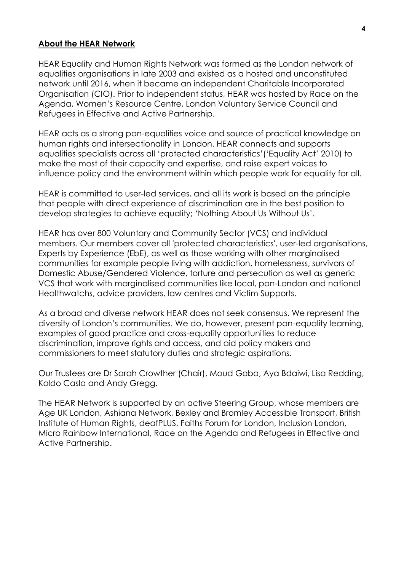#### **About the HEAR Network**

HEAR Equality and Human Rights Network was formed as the London network of equalities organisations in late 2003 and existed as a hosted and unconstituted network until 2016, when it became an independent Charitable Incorporated Organisation (CIO). Prior to independent status, HEAR was hosted by Race on the Agenda, Women's Resource Centre, London Voluntary Service Council and Refugees in Effective and Active Partnership.

HEAR acts as a strong pan-equalities voice and source of practical knowledge on human rights and intersectionality in London. HEAR connects and supports equalities specialists across all 'protected characteristics'('Equality Act' 2010) to make the most of their capacity and expertise, and raise expert voices to influence policy and the environment within which people work for equality for all.

HEAR is committed to user-led services, and all its work is based on the principle that people with direct experience of discrimination are in the best position to develop strategies to achieve equality; 'Nothing About Us Without Us'.

HEAR has over 800 Voluntary and Community Sector (VCS) and individual members. Our members cover all 'protected characteristics', user-led organisations, Experts by Experience (EbE), as well as those working with other marginalised communities for example people living with addiction, homelessness, survivors of Domestic Abuse/Gendered Violence, torture and persecution as well as generic VCS that work with marginalised communities like local, pan-London and national Healthwatchs, advice providers, law centres and Victim Supports.

As a broad and diverse network HEAR does not seek consensus. We represent the diversity of London's communities. We do, however, present pan-equality learning, examples of good practice and cross-equality opportunities to reduce discrimination, improve rights and access, and aid policy makers and commissioners to meet statutory duties and strategic aspirations.

Our Trustees are Dr Sarah Crowther (Chair), Moud Goba, Aya Bdaiwi, Lisa Redding, Koldo Casla and Andy Gregg.

The HEAR Network is supported by an active Steering Group, whose members are Age UK London, Ashiana Network, Bexley and Bromley Accessible Transport, British Institute of Human Rights, deafPLUS, Faiths Forum for London, Inclusion London, Micro Rainbow International, Race on the Agenda and Refugees in Effective and Active Partnership.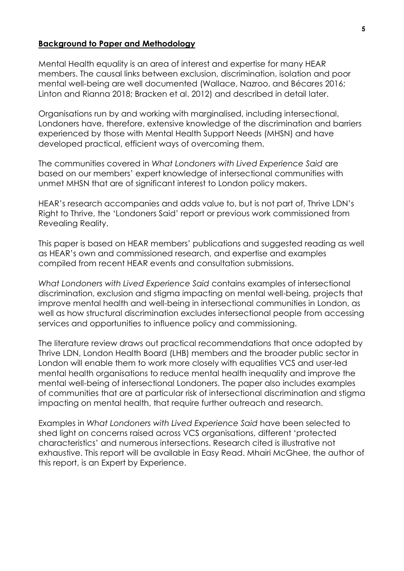#### **Background to Paper and Methodology**

Mental Health equality is an area of interest and expertise for many HEAR members. The causal links between exclusion, discrimination, isolation and poor mental well-being are well documented (Wallace, Nazroo, and Bécares 2016; Linton and Rianna 2018; Bracken et al. 2012) and described in detail later.

Organisations run by and working with marginalised, including intersectional, Londoners have, therefore, extensive knowledge of the discrimination and barriers experienced by those with Mental Health Support Needs (MHSN) and have developed practical, efficient ways of overcoming them.

The communities covered in *What Londoners with Lived Experience Said* are based on our members' expert knowledge of intersectional communities with unmet MHSN that are of significant interest to London policy makers.

HEAR's research accompanies and adds value to, but is not part of, Thrive LDN's Right to Thrive, the 'Londoners Said' report or previous work commissioned from Revealing Reality.

This paper is based on HEAR members' publications and suggested reading as well as HEAR's own and commissioned research, and expertise and examples compiled from recent HEAR events and consultation submissions.

*What Londoners with Lived Experience Said* contains examples of intersectional discrimination, exclusion and stigma impacting on mental well-being, projects that improve mental health and well-being in intersectional communities in London, as well as how structural discrimination excludes intersectional people from accessing services and opportunities to influence policy and commissioning.

The literature review draws out practical recommendations that once adopted by Thrive LDN, London Health Board (LHB) members and the broader public sector in London will enable them to work more closely with equalities VCS and user-led mental health organisations to reduce mental health inequality and improve the mental well-being of intersectional Londoners. The paper also includes examples of communities that are at particular risk of intersectional discrimination and stigma impacting on mental health, that require further outreach and research.

Examples in *What Londoners with Lived Experience Said* have been selected to shed light on concerns raised across VCS organisations, different 'protected characteristics' and numerous intersections. Research cited is illustrative not exhaustive. This report will be available in Easy Read. Mhairi McGhee, the author of this report, is an Expert by Experience.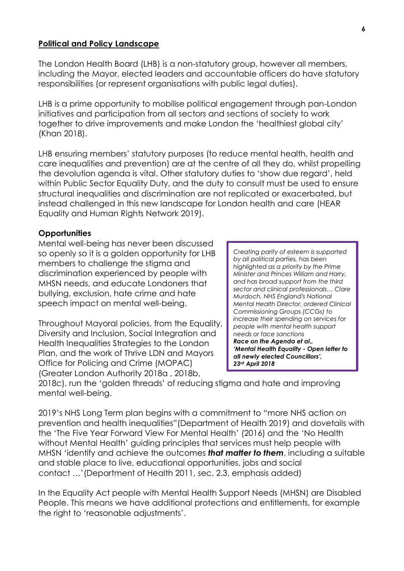#### **Political and Policy Landscape**

The London Health Board (LHB) is a non-statutory group, however all members, including the Mayor, elected leaders and accountable officers do have statutory responsibilities (or represent organisations with public legal duties).

LHB is a prime opportunity to mobilise political engagement through pan-London initiatives and participation from all sectors and sections of society to work together to drive improvements and make London the 'healthiest global city' (Khan 2018).

LHB ensuring members' statutory purposes (to reduce mental health, health and care inequalities and prevention) are at the centre of all they do, whilst propelling the devolution agenda is vital. Other statutory duties to 'show due regard', held within Public Sector Equality Duty, and the duty to consult must be used to ensure structural inequalities and discrimination are not replicated or exacerbated, but instead challenged in this new landscape for London health and care (HEAR Equality and Human Rights Network 2019).

#### **Opportunities**

Mental well-being has never been discussed so openly so it is a golden opportunity for LHB members to challenge the stigma and discrimination experienced by people with MHSN needs, and educate Londoners that bullying, exclusion, hate crime and hate speech impact on mental well-being.

Throughout Mayoral policies, from the Equality, Diversity and Inclusion, Social Integration and Health Inequalities Strategies to the London Plan, and the work of Thrive LDN and Mayors Office for Policing and Crime (MOPAC) (Greater London Authority 2018a , 2018b,

*Creating parity of esteem is supported by all political parties, has been highlighted as a priority by the Prime Minister and Princes William and Harry, and has broad support from the third sector and clinical professionals… Clare Murdoch, NHS England's National Mental Health Director, ordered Clinical Commissioning Groups (CCGs) to increase their spending on services for people with mental health support needs or face sanctions Race on the Agenda et al., 'Mental Health Equality - Open letter to all newly elected Councillors', 23rd April 2018*

2018c), run the 'golden threads' of reducing stigma and hate and improving mental well-being.

2019's NHS Long Term plan begins with a commitment to "more NHS action on prevention and health inequalities"(Department of Health 2019) and dovetails with the 'The Five Year Forward View For Mental Health' (2016) and the 'No Health without Mental Health' guiding principles that services must help people with MHSN 'identify and achieve the outcomes *that matter to them*, including a suitable and stable place to live, educational opportunities, jobs and social contact …'(Department of Health 2011, sec. 2.3, emphasis added)

In the Equality Act people with Mental Health Support Needs (MHSN) are Disabled People. This means we have additional protections and entitlements, for example the right to 'reasonable adjustments'.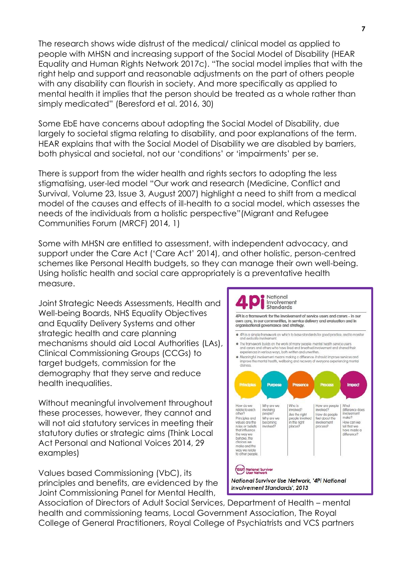The research shows wide distrust of the medical/ clinical model as applied to people with MHSN and increasing support of the Social Model of Disability (HEAR Equality and Human Rights Network 2017c). "The social model implies that with the right help and support and reasonable adjustments on the part of others people with any disability can flourish in society. And more specifically as applied to mental health it implies that the person should be treated as a whole rather than simply medicated" (Beresford et al. 2016, 30)

Some EbE have concerns about adopting the Social Model of Disability, due largely to societal stigma relating to disability, and poor explanations of the term. HEAR explains that with the Social Model of Disability we are disabled by barriers, both physical and societal, not our 'conditions' or 'impairments' per se.

There is support from the wider health and rights sectors to adopting the less stigmatising, user-led model "Our work and research (Medicine, Conflict and Survival, Volume 23, Issue 3, August 2007) highlight a need to shift from a medical model of the causes and effects of ill-health to a social model, which assesses the needs of the individuals from a holistic perspective"(Migrant and Refugee Communities Forum (MRCF) 2014, 1)

Some with MHSN are entitled to assessment, with independent advocacy, and support under the Care Act ('Care Act' 2014), and other holistic, person-centred schemes like Personal Health budgets, so they can manage their own well-being. Using holistic health and social care appropriately is a preventative health measure.

Joint Strategic Needs Assessments, Health and Well-being Boards, NHS Equality Objectives and Equality Delivery Systems and other strategic health and care planning mechanisms should aid Local Authorities (LAs), Clinical Commissioning Groups (CCGs) to target budgets, commission for the demography that they serve and reduce health inequalities.

Without meaningful involvement throughout these processes, however, they cannot and will not aid statutory services in meeting their statutory duties or strategic aims (Think Local Act Personal and National Voices 2014, 29 examples)

Values based Commissioning (VbC), its principles and benefits, are evidenced by the Joint Commissioning Panel for Mental Health,



Association of Directors of Adult Social Services, Department of Health – mental health and commissioning teams, Local Government Association, The Royal College of General Practitioners, Royal College of Psychiatrists and VCS partners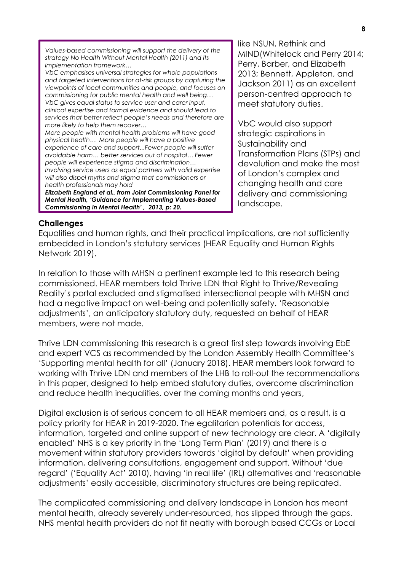*Values-based commissioning will support the delivery of the strategy No Health Without Mental Health (2011) and its implementation framework…* 

*VbC emphasises universal strategies for whole populations and targeted interventions for at-risk groups by capturing the viewpoints of local communities and people, and focuses on commissioning for public mental health and well being… VbC gives equal status to service user and carer input, clinical expertise and formal evidence and should lead to services that better reflect people's needs and therefore are more likely to help them recover…* 

*More people with mental health problems will have good physical health… More people will have a positive experience of care and support...Fewer people will suffer avoidable harm… better services out of hospital… Fewer people will experience stigma and discrimination… Involving service users as equal partners with valid expertise will also dispel myths and stigma that commissioners or health professionals may hold*

*Elizabeth England et al., from Joint Commissioning Panel for Mental Health, 'Guidance for Implementing Values-Based Commissioning in Mental Health' , 2013, p: 20.*

like NSUN, Rethink and MIND(Whitelock and Perry 2014; Perry, Barber, and Elizabeth 2013; Bennett, Appleton, and Jackson 2011) as an excellent person-centred approach to meet statutory duties.

VbC would also support strategic aspirations in Sustainability and Transformation Plans (STPs) and devolution and make the most of London's complex and changing health and care delivery and commissioning landscape.

#### **Challenges**

Equalities and human rights, and their practical implications, are not sufficiently embedded in London's statutory services (HEAR Equality and Human Rights Network 2019).

In relation to those with MHSN a pertinent example led to this research being commissioned. HEAR members told Thrive LDN that Right to Thrive/Revealing Reality's portal excluded and stigmatised intersectional people with MHSN and had a negative impact on well-being and potentially safety. 'Reasonable adjustments', an anticipatory statutory duty, requested on behalf of HEAR members, were not made.

Thrive LDN commissioning this research is a great first step towards involving EbE and expert VCS as recommended by the London Assembly Health Committee's 'Supporting mental health for all' (January 2018). HEAR members look forward to working with Thrive LDN and members of the LHB to roll-out the recommendations in this paper, designed to help embed statutory duties, overcome discrimination and reduce health inequalities, over the coming months and years,

Digital exclusion is of serious concern to all HEAR members and, as a result, is a policy priority for HEAR in 2019-2020. The egalitarian potentials for access, information, targeted and online support of new technology are clear. A 'digitally enabled' NHS is a key priority in the 'Long Term Plan' (2019) and there is a movement within statutory providers towards 'digital by default' when providing information, delivering consultations, engagement and support. Without 'due regard' ('Equality Act' 2010), having 'in real life' (IRL) alternatives and 'reasonable adjustments' easily accessible, discriminatory structures are being replicated.

The complicated commissioning and delivery landscape in London has meant mental health, already severely under-resourced, has slipped through the gaps. NHS mental health providers do not fit neatly with borough based CCGs or Local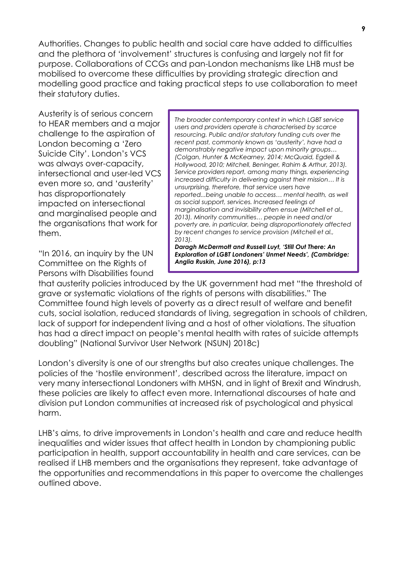Authorities. Changes to public health and social care have added to difficulties and the plethora of 'involvement' structures is confusing and largely not fit for purpose. Collaborations of CCGs and pan-London mechanisms like LHB must be mobilised to overcome these difficulties by providing strategic direction and modelling good practice and taking practical steps to use collaboration to meet their statutory duties.

Austerity is of serious concern to HEAR members and a major challenge to the aspiration of London becoming a 'Zero Suicide City'. London's VCS was always over-capacity, intersectional and user-led VCS even more so, and 'austerity' has disproportionately impacted on intersectional and marginalised people and the organisations that work for them.

"In 2016, an inquiry by the UN Committee on the Rights of Persons with Disabilities found

*The broader contemporary context in which LGBT service users and providers operate is characterised by scarce resourcing. Public and/or statutory funding cuts over the recent past, commonly known as 'austerity', have had a demonstrably negative impact upon minority groups… (Colgan, Hunter & McKearney, 2014; McQuaid, Egdell & Hollywood, 2010; Mitchell, Beninger, Rahim & Arthur, 2013). Service providers report, among many things, experiencing increased difficulty in delivering against their mission… It is unsurprising, therefore, that service users have reported...being unable to access… mental health, as well as social support, services. Increased feelings of marginalisation and invisibility often ensue (Mitchell et al., 2013). Minority communities… people in need and/or poverty are, in particular, being disproportionately affected by recent changes to service provision (Mitchell et al., 2013).*

*Daragh McDermott and Russell Luyt, 'Still Out There: An Exploration of LGBT Londoners' Unmet Needs', (Cambridge: Anglia Ruskin, June 2016), p:13*

that austerity policies introduced by the UK government had met "the threshold of grave or systematic violations of the rights of persons with disabilities." The Committee found high levels of poverty as a direct result of welfare and benefit cuts, social isolation, reduced standards of living, segregation in schools of children, lack of support for independent living and a host of other violations. The situation has had a direct impact on people's mental health with rates of suicide attempts doubling" (National Survivor User Network (NSUN) 2018c)

London's diversity is one of our strengths but also creates unique challenges. The policies of the 'hostile environment', described across the literature, impact on very many intersectional Londoners with MHSN, and in light of Brexit and Windrush, these policies are likely to affect even more. International discourses of hate and division put London communities at increased risk of psychological and physical harm.

LHB's aims, to drive improvements in London's health and care and reduce health inequalities and wider issues that affect health in London by championing public participation in health, support accountability in health and care services, can be realised if LHB members and the organisations they represent, take advantage of the opportunities and recommendations in this paper to overcome the challenges outlined above.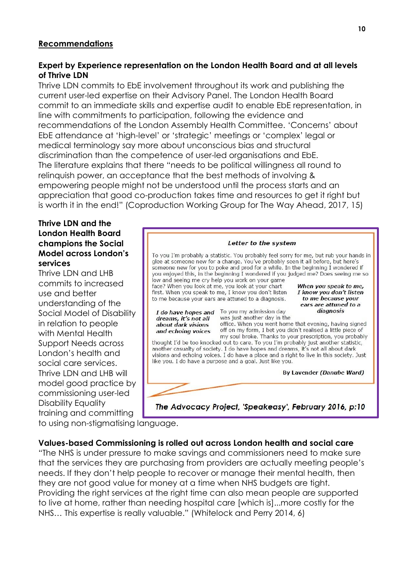## **Recommendations**

## **Expert by Experience representation on the London Health Board and at all levels of Thrive LDN**

Thrive LDN commits to EbE involvement throughout its work and publishing the current user-led expertise on their Advisory Panel. The London Health Board commit to an immediate skills and expertise audit to enable EbE representation, in line with commitments to participation, following the evidence and recommendations of the London Assembly Health Committee. 'Concerns' about EbE attendance at 'high-level' or 'strategic' meetings or 'complex' legal or medical terminology say more about unconscious bias and structural discrimination than the competence of user-led organisations and EbE. The literature explains that there "needs to be political willingness all round to relinquish power, an acceptance that the best methods of involving & empowering people might not be understood until the process starts and an appreciation that good co-production takes time and resources to get it right but is worth it in the end!" (Coproduction Working Group for The Way Ahead, 2017, 15)

#### **Thrive LDN and the London Health Board champions the Social Model across London's services**

Thrive LDN and LHB commits to increased use and better understanding of the Social Model of Disability in relation to people with Mental Health Support Needs across London's health and social care services. Thrive LDN and LHB will model good practice by commissioning user-led Disability Equality training and committing



to using non-stigmatising language.

## **Values-based Commissioning is rolled out across London health and social care**

"The NHS is under pressure to make savings and commissioners need to make sure that the services they are purchasing from providers are actually meeting people's needs. If they don't help people to recover or manage their mental health, then they are not good value for money at a time when NHS budgets are tight. Providing the right services at the right time can also mean people are supported to live at home, rather than needing hospital care [which is]...more costly for the NHS… This expertise is really valuable." (Whitelock and Perry 2014, 6)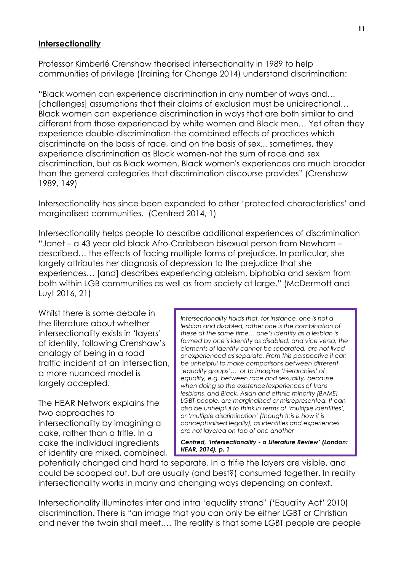## **Intersectionality**

Professor Kimberlé Crenshaw theorised intersectionality in 1989 to help communities of privilege (Training for Change 2014) understand discrimination:

"Black women can experience discrimination in any number of ways and… [challenges] assumptions that their claims of exclusion must be unidirectional… Black women can experience discrimination in ways that are both similar to and different from those experienced by white women and Black men… Yet often they experience double-discrimination-the combined effects of practices which discriminate on the basis of race, and on the basis of sex... sometimes, they experience discrimination as Black women-not the sum of race and sex discrimination, but as Black women. Black women's experiences are much broader than the general categories that discrimination discourse provides" (Crenshaw 1989, 149)

Intersectionality has since been expanded to other 'protected characteristics' and marginalised communities. (Centred 2014, 1)

Intersectionality helps people to describe additional experiences of discrimination "Janet – a 43 year old black Afro-Caribbean bisexual person from Newham – described… the effects of facing multiple forms of prejudice. In particular, she largely attributes her diagnosis of depression to the prejudice that she experiences… [and] describes experiencing ableism, biphobia and sexism from both within LGB communities as well as from society at large." (McDermott and Luyt 2016, 21)

Whilst there is some debate in the literature about whether intersectionality exists in 'layers' of identity, following Crenshaw's analogy of being in a road traffic incident at an intersection, a more nuanced model is largely accepted.

The HEAR Network explains the two approaches to intersectionality by imagining a cake, rather than a trifle. In a cake the individual ingredients of identity are mixed, combined, *Intersectionality holds that, for instance, one is not a lesbian and disabled, rather one is the combination of these at the same time… one's identity as a lesbian is formed by one's identity as disabled, and vice versa; the elements of identity cannot be separated, are not lived or experienced as separate. From this perspective it can be unhelpful to make comparisons between different 'equality groups'… or to imagine 'hierarchies' of equality, e.g. between race and sexuality, because when doing so the existence/experiences of trans lesbians, and Black, Asian and ethnic minority (BAME) LGBT people, are marginalised or misrepresented. It can also be unhelpful to think in terms of 'multiple identities', or 'multiple discrimination' (though this is how it is conceptualised legally), as identities and experiences are not layered on top of one another*

*Centred, 'Intersectionality - a Literature Review' (London: HEAR, 2014), p. 1*

potentially changed and hard to separate. In a trifle the layers are visible, and could be scooped out, but are usually (and best?) consumed together. In reality intersectionality works in many and changing ways depending on context.

Intersectionality illuminates inter and intra 'equality strand' ('Equality Act' 2010) discrimination. There is "an image that you can only be either LGBT or Christian and never the twain shall meet…. The reality is that some LGBT people are people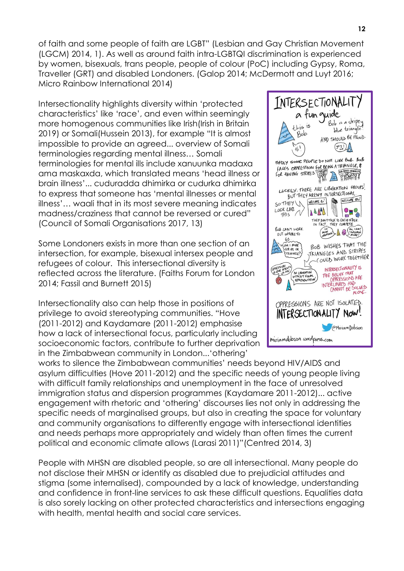of faith and some people of faith are LGBT" (Lesbian and Gay Christian Movement (LGCM) 2014, 1). As well as around faith intra-LGBTQI discrimination is experienced by women, bisexuals, trans people, people of colour (PoC) including Gypsy, Roma, Traveller (GRT) and disabled Londoners. (Galop 2014; McDermott and Luyt 2016; Micro Rainbow International 2014)

Intersectionality highlights diversity within 'protected characteristics' like 'race', and even within seemingly more homogenous communities like Irish(Irish in Britain 2019) or Somali(Hussein 2013), for example "It is almost impossible to provide an agreed... overview of Somali terminologies regarding mental illness… Somali terminologies for mental ills include xanuunka madaxa ama maskaxda, which translated means 'head illness or brain illness'... cuduradda dhimirka or cudurka dhimirka to express that someone has 'mental illnesses or mental illness'… waali that in its most severe meaning indicates madness/craziness that cannot be reversed or cured" (Council of Somali Organisations 2017, 13)

Some Londoners exists in more than one section of an intersection, for example, bisexual intersex people and refugees of colour. This intersectional diversity is reflected across the literature. (Faiths Forum for London 2014; Fassil and Burnett 2015)

Intersectionality also can help those in positions of privilege to avoid stereotyping communities. "Hove (2011-2012) and Kaydamare (2011-2012) emphasise how a lack of intersectional focus, particularly including socioeconomic factors, contribute to further deprivation in the Zimbabwean community in London...'othering'

INTERSECTIONALIT a fun quide Bob is a stripey this is blue triangle! Bob AND SHOULD BE PROUD.  $(972)$ łĥ SADLY SOME PEOPLE DO NOT LIKE BOB. BOB FACES OPPRESSION FOR BEING A TRANGLE, & **GOD HATES TR** FOR HAVING STRIPES STRIP A TRIPATH LUCKILY, THERE ARE LIBERATION GROUPS! BUT THEY AREN'T INTERSECTIONAL WELCOME = S! WELCOME AS! SO THEY V LOOK LIKE  $1444$ OK LIKE<br>THIS 1  $P_4$ THEY DON'T TALK TO EACH OTHER. ROB CAN'T WORK  $\left(\begin{matrix} m\\ m\\ o \end{matrix}\right)$   $\left(\begin{matrix} m\\ s \end{matrix}\right)$   $\left(\begin{matrix} m\\ s \end{matrix}\right)$   $\left(\begin{matrix} m\\ s \end{matrix}\right)$   $\left(\begin{matrix} m\\ s \end{matrix}\right)$ OUT WHERE TO  $60$ BOB WISHES THAT THE **AM I MORE** BOB WISHES AND STRIPES TRIANELE? COULD WORK TOGETHER INTERSECTIONALITY IS NO LIBERATION THE BELIEF THAT OPPRESSIONS ARE INTERLINKED AND<br>CANNOT BE SOLVED OPPRESSIONS ARE NOT ISOLATED. INTERSECTIONALITY NOW! PMiriam Dobson miriamdobson wordpress.com

works to silence the Zimbabwean communities' needs beyond HIV/AIDS and asylum difficulties (Hove 2011-2012) and the specific needs of young people living with difficult family relationships and unemployment in the face of unresolved immigration status and dispersion programmes (Kaydamare 2011-2012)... active engagement with rhetoric and 'othering' discourses lies not only in addressing the specific needs of marginalised groups, but also in creating the space for voluntary and community organisations to differently engage with intersectional identities and needs perhaps more appropriately and widely than often times the current political and economic climate allows (Larasi 2011)"(Centred 2014, 3)

People with MHSN are disabled people, so are all intersectional. Many people do not disclose their MHSN or identify as disabled due to prejudicial attitudes and stigma (some internalised), compounded by a lack of knowledge, understanding and confidence in front-line services to ask these difficult questions. Equalities data is also sorely lacking on other protected characteristics and intersections engaging with health, mental health and social care services.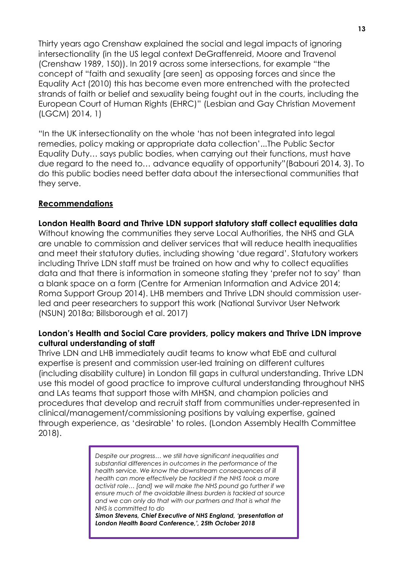Thirty years ago Crenshaw explained the social and legal impacts of ignoring intersectionality (in the US legal context DeGraffenreid, Moore and Travenol (Crenshaw 1989, 150)). In 2019 across some intersections, for example "the concept of "faith and sexuality [are seen] as opposing forces and since the Equality Act (2010) this has become even more entrenched with the protected strands of faith or belief and sexuality being fought out in the courts, including the European Court of Human Rights (EHRC)" (Lesbian and Gay Christian Movement (LGCM) 2014, 1)

"In the UK intersectionality on the whole 'has not been integrated into legal remedies, policy making or appropriate data collection'...The Public Sector Equality Duty… says public bodies, when carrying out their functions, must have due regard to the need to… advance equality of opportunity"(Babouri 2014, 3). To do this public bodies need better data about the intersectional communities that they serve.

## **Recommendations**

**London Health Board and Thrive LDN support statutory staff collect equalities data** Without knowing the communities they serve Local Authorities, the NHS and GLA are unable to commission and deliver services that will reduce health inequalities and meet their statutory duties, including showing 'due regard'. Statutory workers including Thrive LDN staff must be trained on how and why to collect equalities data and that there is information in someone stating they 'prefer not to say' than a blank space on a form (Centre for Armenian Information and Advice 2014; Roma Support Group 2014). LHB members and Thrive LDN should commission userled and peer researchers to support this work (National Survivor User Network (NSUN) 2018a; Billsborough et al. 2017)

#### **London's Health and Social Care providers, policy makers and Thrive LDN improve cultural understanding of staff**

Thrive LDN and LHB immediately audit teams to know what EbE and cultural expertise is present and commission user-led training on different cultures (including disability culture) in London fill gaps in cultural understanding. Thrive LDN use this model of good practice to improve cultural understanding throughout NHS and LAs teams that support those with MHSN, and champion policies and procedures that develop and recruit staff from communities under-represented in clinical/management/commissioning positions by valuing expertise, gained through experience, as 'desirable' to roles. (London Assembly Health Committee 2018).

> *Despite our progress… we still have significant inequalities and substantial differences in outcomes in the performance of the health service. We know the downstream consequences of ill health can more effectively be tackled if the NHS took a more activist role… [and] we will make the NHS pound go further if we ensure much of the avoidable illness burden is tackled at source and we can only do that with our partners and that is what the NHS is committed to do*

> *Simon Stevens, Chief Executive of NHS England, 'presentation at London Health Board Conference,', 25th October 2018*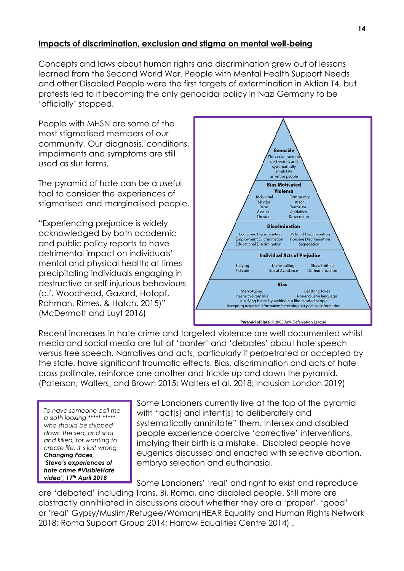## **Impacts of discrimination, exclusion and stigma on mental well-being**

Concepts and laws about human rights and discrimination grew out of lessons learned from the Second World War. People with Mental Health Support Needs and other Disabled People were the first targets of extermination in Aktion T4, but protests led to it becoming the only genocidal policy in Nazi Germany to be 'officially' stopped.

People with MHSN are some of the most stigmatised members of our community. Our diagnosis, conditions, impairments and symptoms are still used as slur terms.

The pyramid of hate can be a useful tool to consider the experiences of stigmatised and marginalised people.

"Experiencing prejudice is widely acknowledged by both academic and public policy reports to have detrimental impact on individuals' mental and physical health; at times precipitating individuals engaging in destructive or self-injurious behaviours (c.f. Woodhead, Gazard, Hotopf, Rahman, Rimes, & Hatch, 2015)" (McDermott and Luyt 2016)



Recent increases in hate crime and targeted violence are well documented whilst media and social media are full of 'banter' and 'debates' about hate speech versus free speech. Narratives and acts, particularly if perpetrated or accepted by the state, have significant traumatic effects. Bias, discrimination and acts of hate cross pollinate, reinforce one another and trickle up and down the pyramid. (Paterson, Walters, and Brown 2015; Walters et al. 2018; Inclusion London 2019)

*To have someone call me a sloth looking \*\*\*\*\* \*\*\*\*\* who should be shipped down the sea, and shot and killed, for wanting to create life. It's just wrong Changing Faces, 'Steve's experiences of hate crime #VisibleHate video', 17th April 2018*

Some Londoners currently live at the top of the pyramid with "act[s] and intent[s] to deliberately and systematically annihilate" them. Intersex and disabled people experience coercive 'corrective' interventions, implying their birth is a mistake. Disabled people have eugenics discussed and enacted with selective abortion, embryo selection and euthanasia.

Some Londoners' 'real' and right to exist and reproduce are 'debated' including Trans, Bi, Roma, and disabled people. Still more are abstractly annihilated in discussions about whether they are a 'proper', 'good' or 'real' Gypsy/Muslim/Refugee/Woman(HEAR Equality and Human Rights Network 2018; Roma Support Group 2014; Harrow Equalities Centre 2014) .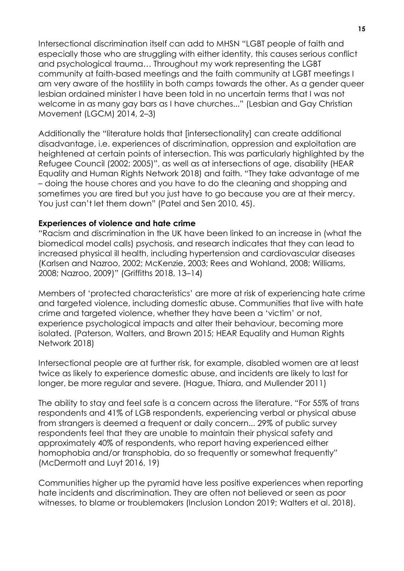Intersectional discrimination itself can add to MHSN "LGBT people of faith and especially those who are struggling with either identity, this causes serious conflict and psychological trauma… Throughout my work representing the LGBT community at faith-based meetings and the faith community at LGBT meetings I am very aware of the hostility in both camps towards the other. As a gender queer lesbian ordained minister I have been told in no uncertain terms that I was not welcome in as many gay bars as I have churches..." (Lesbian and Gay Christian Movement (LGCM) 2014, 2–3)

Additionally the "literature holds that [intersectionality] can create additional disadvantage, i.e. experiences of discrimination, oppression and exploitation are heightened at certain points of intersection. This was particularly highlighted by the Refugee Council (2002; 2005)", as well as at intersections of age, disability (HEAR Equality and Human Rights Network 2018) and faith. "They take advantage of me – doing the house chores and you have to do the cleaning and shopping and sometimes you are tired but you just have to go because you are at their mercy. You just can't let them down" (Patel and Sen 2010, 45).

#### **Experiences of violence and hate crime**

"Racism and discrimination in the UK have been linked to an increase in (what the biomedical model calls) psychosis, and research indicates that they can lead to increased physical ill health, including hypertension and cardiovascular diseases (Karlsen and Nazroo, 2002; McKenzie, 2003; Rees and Wohland, 2008; Williams, 2008; Nazroo, 2009)" (Griffiths 2018, 13–14)

Members of 'protected characteristics' are more at risk of experiencing hate crime and targeted violence, including domestic abuse. Communities that live with hate crime and targeted violence, whether they have been a 'victim' or not, experience psychological impacts and alter their behaviour, becoming more isolated. (Paterson, Walters, and Brown 2015; HEAR Equality and Human Rights Network 2018)

Intersectional people are at further risk, for example, disabled women are at least twice as likely to experience domestic abuse, and incidents are likely to last for longer, be more regular and severe. (Hague, Thiara, and Mullender 2011)

The ability to stay and feel safe is a concern across the literature. "For 55% of trans respondents and 41% of LGB respondents, experiencing verbal or physical abuse from strangers is deemed a frequent or daily concern... 29% of public survey respondents feel that they are unable to maintain their physical safety and approximately 40% of respondents, who report having experienced either homophobia and/or transphobia, do so frequently or somewhat frequently" (McDermott and Luyt 2016, 19)

Communities higher up the pyramid have less positive experiences when reporting hate incidents and discrimination. They are often not believed or seen as poor witnesses, to blame or troublemakers (Inclusion London 2019; Walters et al. 2018).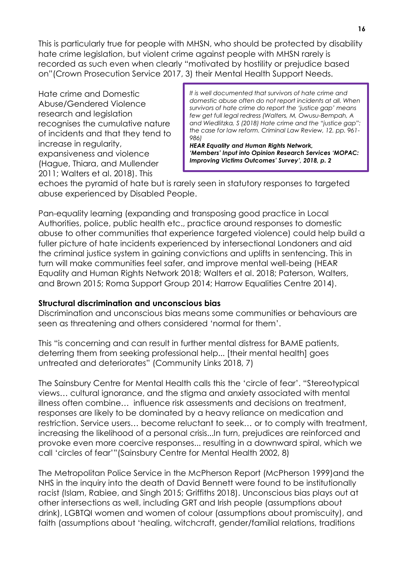This is particularly true for people with MHSN, who should be protected by disability hate crime legislation, but violent crime against people with MHSN rarely is recorded as such even when clearly "motivated by hostility or prejudice based on"(Crown Prosecution Service 2017, 3) their Mental Health Support Needs.

Hate crime and Domestic Abuse/Gendered Violence research and legislation recognises the cumulative nature of incidents and that they tend to increase in regularity, expansiveness and violence (Hague, Thiara, and Mullender 2011; Walters et al. 2018). This

*It is well documented that survivors of hate crime and domestic abuse often do not report incidents at all. When survivors of hate crime do report the 'justice gap' means few get full legal redress (Walters, M, Owusu-Bempah, A and Wiedlitzka, S (2018) Hate crime and the "justice gap": the case for law reform. Criminal Law Review, 12. pp. 961- 986)*

*HEAR Equality and Human Rights Network, 'Members' Input into Opinion Research Services 'MOPAC: Improving Victims Outcomes' Survey', 2018, p. 2*

echoes the pyramid of hate but is rarely seen in statutory responses to targeted abuse experienced by Disabled People.

Pan-equality learning (expanding and transposing good practice in Local Authorities, police, public health etc., practice around responses to domestic abuse to other communities that experience targeted violence) could help build a fuller picture of hate incidents experienced by intersectional Londoners and aid the criminal justice system in gaining convictions and uplifts in sentencing. This in turn will make communities feel safer, and improve mental well-being (HEAR Equality and Human Rights Network 2018; Walters et al. 2018; Paterson, Walters, and Brown 2015; Roma Support Group 2014; Harrow Equalities Centre 2014).

#### **Structural discrimination and unconscious bias**

Discrimination and unconscious bias means some communities or behaviours are seen as threatening and others considered 'normal for them'.

This "is concerning and can result in further mental distress for BAME patients, deterring them from seeking professional help... [their mental health] goes untreated and deteriorates" (Community Links 2018, 7)

The Sainsbury Centre for Mental Health calls this the 'circle of fear'. "Stereotypical views… cultural ignorance, and the stigma and anxiety associated with mental illness often combine… influence risk assessments and decisions on treatment, responses are likely to be dominated by a heavy reliance on medication and restriction. Service users… become reluctant to seek… or to comply with treatment, increasing the likelihood of a personal crisis...In turn, prejudices are reinforced and provoke even more coercive responses... resulting in a downward spiral, which we call 'circles of fear'"(Sainsbury Centre for Mental Health 2002, 8)

The Metropolitan Police Service in the McPherson Report (McPherson 1999)and the NHS in the inquiry into the death of David Bennett were found to be institutionally racist (Islam, Rabiee, and Singh 2015; Griffiths 2018). Unconscious bias plays out at other intersections as well, including GRT and Irish people (assumptions about drink), LGBTQI women and women of colour (assumptions about promiscuity), and faith (assumptions about 'healing, witchcraft, gender/familial relations, traditions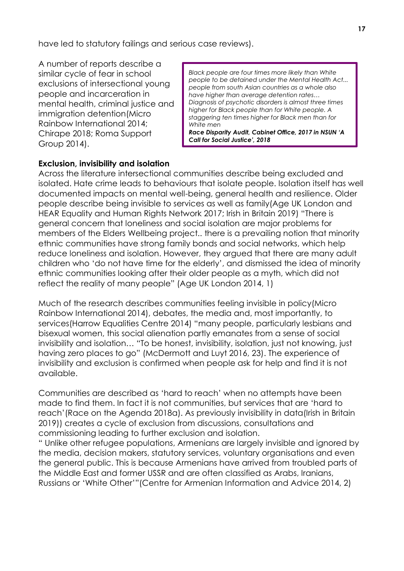have led to statutory failings and serious case reviews).

A number of reports describe a similar cycle of fear in school exclusions of intersectional young people and incarceration in mental health, criminal justice and immigration detention(Micro Rainbow International 2014; Chirape 2018; Roma Support Group 2014).

*Black people are four times more likely than White people to be detained under the Mental Health Act... people from south Asian countries as a whole also have higher than average detention rates… Diagnosis of psychotic disorders is almost three times higher for Black people than for White people. A staggering ten times higher for Black men than for White men Race Disparity Audit, Cabinet Office, 2017 in NSUN 'A Call for Social Justice', 2018*

## **Exclusion, invisibility and isolation**

Across the literature intersectional communities describe being excluded and isolated. Hate crime leads to behaviours that isolate people. Isolation itself has well documented impacts on mental well-being, general health and resilience. Older people describe being invisible to services as well as family(Age UK London and HEAR Equality and Human Rights Network 2017; Irish in Britain 2019) "There is general concern that loneliness and social isolation are major problems for members of the Elders Wellbeing project.. there is a prevailing notion that minority ethnic communities have strong family bonds and social networks, which help reduce loneliness and isolation. However, they argued that there are many adult children who 'do not have time for the elderly', and dismissed the idea of minority ethnic communities looking after their older people as a myth, which did not reflect the reality of many people" (Age UK London 2014, 1)

Much of the research describes communities feeling invisible in policy(Micro Rainbow International 2014), debates, the media and, most importantly, to services(Harrow Equalities Centre 2014) "many people, particularly lesbians and bisexual women, this social alienation partly emanates from a sense of social invisibility and isolation… "To be honest, invisibility, isolation, just not knowing, just having zero places to go" (McDermott and Luyt 2016, 23). The experience of invisibility and exclusion is confirmed when people ask for help and find it is not available.

Communities are described as 'hard to reach' when no attempts have been made to find them. In fact it is not communities, but services that are 'hard to reach'(Race on the Agenda 2018a). As previously invisibility in data(Irish in Britain 2019)) creates a cycle of exclusion from discussions, consultations and commissioning leading to further exclusion and isolation.

" Unlike other refugee populations, Armenians are largely invisible and ignored by the media, decision makers, statutory services, voluntary organisations and even the general public. This is because Armenians have arrived from troubled parts of the Middle East and former USSR and are often classified as Arabs, Iranians, Russians or 'White Other'"(Centre for Armenian Information and Advice 2014, 2)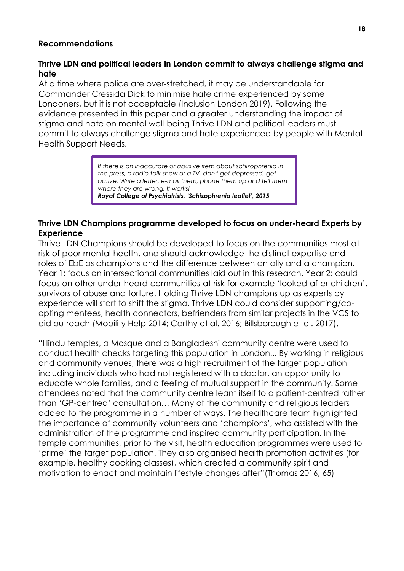#### **Recommendations**

## **Thrive LDN and political leaders in London commit to always challenge stigma and hate**

At a time where police are over-stretched, it may be understandable for Commander Cressida Dick to minimise hate crime experienced by some Londoners, but it is not acceptable (Inclusion London 2019). Following the evidence presented in this paper and a greater understanding the impact of stigma and hate on mental well-being Thrive LDN and political leaders must commit to always challenge stigma and hate experienced by people with Mental Health Support Needs.

> *If there is an inaccurate or abusive item about schizophrenia in the press, a radio talk show or a TV, don't get depressed, get active. Write a letter, e-mail them, phone them up and tell them where they are wrong. It works! Royal College of Psychiatrists, 'Schizophrenia leaflet', 2015*

## **Thrive LDN Champions programme developed to focus on under-heard Experts by Experience**

Thrive LDN Champions should be developed to focus on the communities most at risk of poor mental health, and should acknowledge the distinct expertise and roles of EbE as champions and the difference between an ally and a champion. Year 1: focus on intersectional communities laid out in this research. Year 2: could focus on other under-heard communities at risk for example 'looked after children', survivors of abuse and torture. Holding Thrive LDN champions up as experts by experience will start to shift the stigma. Thrive LDN could consider supporting/coopting mentees, health connectors, befrienders from similar projects in the VCS to aid outreach (Mobility Help 2014; Carthy et al. 2016; Billsborough et al. 2017).

"Hindu temples, a Mosque and a Bangladeshi community centre were used to conduct health checks targeting this population in London... By working in religious and community venues, there was a high recruitment of the target population including individuals who had not registered with a doctor, an opportunity to educate whole families, and a feeling of mutual support in the community. Some attendees noted that the community centre leant itself to a patient-centred rather than 'GP-centred' consultation… Many of the community and religious leaders added to the programme in a number of ways. The healthcare team highlighted the importance of community volunteers and 'champions', who assisted with the administration of the programme and inspired community participation. In the temple communities, prior to the visit, health education programmes were used to 'prime' the target population. They also organised health promotion activities (for example, healthy cooking classes), which created a community spirit and motivation to enact and maintain lifestyle changes after"(Thomas 2016, 65)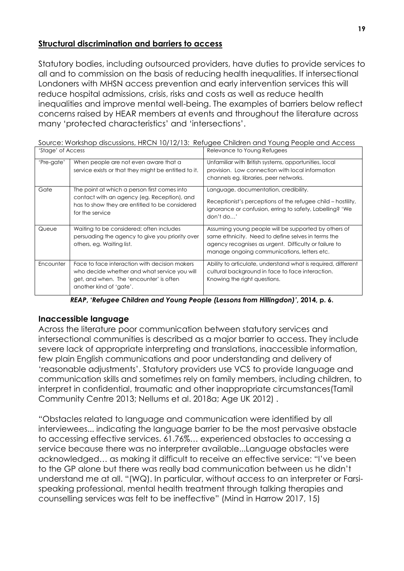## **Structural discrimination and barriers to access**

Statutory bodies, including outsourced providers, have duties to provide services to all and to commission on the basis of reducing health inequalities. If intersectional Londoners with MHSN access prevention and early intervention services this will reduce hospital admissions, crisis, risks and costs as well as reduce health inequalities and improve mental well-being. The examples of barriers below reflect concerns raised by HEAR members at events and throughout the literature across many 'protected characteristics' and 'intersections'.

Source: Workshop discussions, HRCN 10/12/13: Refugee Children and Young People and Access Bolovance to Young Petugee

| SIUYE OI ACCESS |                                                                                                                                                                     | <b>Relevative to Topfig Relogees</b>                                                                                                                                                                               |
|-----------------|---------------------------------------------------------------------------------------------------------------------------------------------------------------------|--------------------------------------------------------------------------------------------------------------------------------------------------------------------------------------------------------------------|
| 'Pre-gate'      | When people are not even aware that a<br>service exists or that they might be entitled to it.                                                                       | Unfamiliar with British systems, opportunities, local<br>provision. Low connection with local information<br>channels eg. libraries, peer networks.                                                                |
| Gate            | The point at which a person first comes into<br>contact with an agency (eg. Reception), and<br>has to show they are entitled to be considered<br>for the service    | Language, documentation, credibility.<br>Receptionist's perceptions of the refugee child – hostility,<br>ignorance or confusion, erring to safety, Labelling? 'We<br>don't do'                                     |
| Queue           | Waiting to be considered; often includes<br>persuading the agency to give you priority over<br>others, eg. Waiting list.                                            | Assuming young people will be supported by others of<br>same ethnicity. Need to define selves in terms the<br>agency recognises as urgent. Difficulty or failure to<br>manage ongoing communications, letters etc. |
| Encounter       | Face to face interaction with decision makers<br>who decide whether and what service you will<br>get, and when. The 'encounter' is often<br>another kind of 'gate'. | Ability to articulate, understand what is required, different<br>cultural background in face to face interaction.<br>Knowing the right questions.                                                                  |

*REAP***, '***Refugee Children and Young People (Lessons from Hillingdon)'***, 2014, p. 6.**

## **Inaccessible language**

Across the literature poor communication between statutory services and intersectional communities is described as a major barrier to access. They include severe lack of appropriate interpreting and translations, inaccessible information, few plain English communications and poor understanding and delivery of 'reasonable adjustments'. Statutory providers use VCS to provide language and communication skills and sometimes rely on family members, including children, to interpret in confidential, traumatic and other inappropriate circumstances(Tamil Community Centre 2013; Nellums et al. 2018a; Age UK 2012) .

"Obstacles related to language and communication were identified by all interviewees... indicating the language barrier to be the most pervasive obstacle to accessing effective services. 61.76%… experienced obstacles to accessing a service because there was no interpreter available...Language obstacles were acknowledged… as making it difficult to receive an effective service: "I've been to the GP alone but there was really bad communication between us he didn't understand me at all. "(WQ). In particular, without access to an interpreter or Farsispeaking professional, mental health treatment through talking therapies and counselling services was felt to be ineffective" (Mind in Harrow 2017, 15)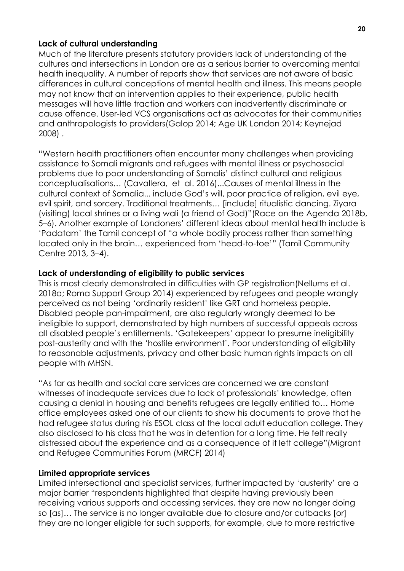#### **Lack of cultural understanding**

Much of the literature presents statutory providers lack of understanding of the cultures and intersections in London are as a serious barrier to overcoming mental health inequality. A number of reports show that services are not aware of basic differences in cultural conceptions of mental health and illness. This means people may not know that an intervention applies to their experience, public health messages will have little traction and workers can inadvertently discriminate or cause offence. User-led VCS organisations act as advocates for their communities and anthropologists to providers(Galop 2014; Age UK London 2014; Keynejad 2008) .

"Western health practitioners often encounter many challenges when providing assistance to Somali migrants and refugees with mental illness or psychosocial problems due to poor understanding of Somalis' distinct cultural and religious conceptualisations… (Cavallera, et al. 2016)...Causes of mental illness in the cultural context of Somalia... include God's will, poor practice of religion, evil eye, evil spirit, and sorcery. Traditional treatments… [include] ritualistic dancing. Ziyara (visiting) local shrines or a living wali (a friend of God)"(Race on the Agenda 2018b, 5–6). Another example of Londoners' different ideas about mental health include is 'Padatam' the Tamil concept of "a whole bodily process rather than something located only in the brain… experienced from 'head-to-toe'" (Tamil Community Centre 2013, 3–4).

## **Lack of understanding of eligibility to public services**

This is most clearly demonstrated in difficulties with GP registration(Nellums et al. 2018a; Roma Support Group 2014) experienced by refugees and people wrongly perceived as not being 'ordinarily resident' like GRT and homeless people. Disabled people pan-impairment, are also regularly wrongly deemed to be ineligible to support, demonstrated by high numbers of successful appeals across all disabled people's entitlements. 'Gatekeepers' appear to presume ineligibility post-austerity and with the 'hostile environment'. Poor understanding of eligibility to reasonable adjustments, privacy and other basic human rights impacts on all people with MHSN.

"As far as health and social care services are concerned we are constant witnesses of inadequate services due to lack of professionals' knowledge, often causing a denial in housing and benefits refugees are legally entitled to… Home office employees asked one of our clients to show his documents to prove that he had refugee status during his ESOL class at the local adult education college. They also disclosed to his class that he was in detention for a long time. He felt really distressed about the experience and as a consequence of it left college"(Migrant and Refugee Communities Forum (MRCF) 2014)

## **Limited appropriate services**

Limited intersectional and specialist services, further impacted by 'austerity' are a major barrier "respondents highlighted that despite having previously been receiving various supports and accessing services, they are now no longer doing so [as]… The service is no longer available due to closure and/or cutbacks [or] they are no longer eligible for such supports, for example, due to more restrictive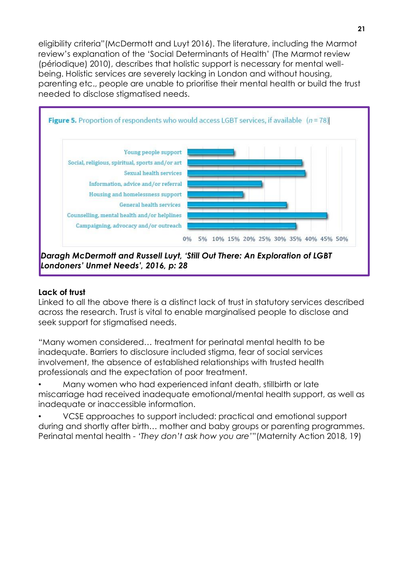eligibility criteria"(McDermott and Luyt 2016). The literature, including the Marmot review's explanation of the 'Social Determinants of Health' (The Marmot review (périodique) 2010), describes that holistic support is necessary for mental wellbeing. Holistic services are severely lacking in London and without housing, parenting etc., people are unable to prioritise their mental health or build the trust needed to disclose stigmatised needs.



## **Lack of trust**

Linked to all the above there is a distinct lack of trust in statutory services described across the research. Trust is vital to enable marginalised people to disclose and seek support for stigmatised needs.

"Many women considered… treatment for perinatal mental health to be inadequate. Barriers to disclosure included stigma, fear of social services involvement, the absence of established relationships with trusted health professionals and the expectation of poor treatment.

• Many women who had experienced infant death, stillbirth or late miscarriage had received inadequate emotional/mental health support, as well as inadequate or inaccessible information.

• VCSE approaches to support included: practical and emotional support during and shortly after birth… mother and baby groups or parenting programmes. Perinatal mental health - *'They don't ask how you are'*"(Maternity Action 2018, 19)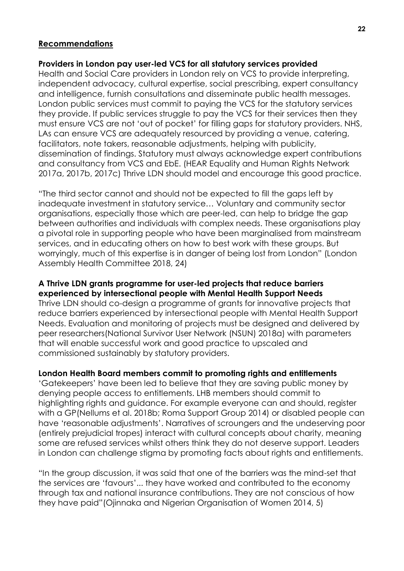#### **Recommendations**

#### **Providers in London pay user-led VCS for all statutory services provided**

Health and Social Care providers in London rely on VCS to provide interpreting, independent advocacy, cultural expertise, social prescribing, expert consultancy and intelligence, furnish consultations and disseminate public health messages. London public services must commit to paying the VCS for the statutory services they provide. If public services struggle to pay the VCS for their services then they must ensure VCS are not 'out of pocket' for filling gaps for statutory providers. NHS, LAs can ensure VCS are adequately resourced by providing a venue, catering, facilitators, note takers, reasonable adjustments, helping with publicity, dissemination of findings. Statutory must always acknowledge expert contributions and consultancy from VCS and EbE. (HEAR Equality and Human Rights Network 2017a, 2017b, 2017c) Thrive LDN should model and encourage this good practice.

"The third sector cannot and should not be expected to fill the gaps left by inadequate investment in statutory service… Voluntary and community sector organisations, especially those which are peer-led, can help to bridge the gap between authorities and individuals with complex needs. These organisations play a pivotal role in supporting people who have been marginalised from mainstream services, and in educating others on how to best work with these groups. But worryingly, much of this expertise is in danger of being lost from London" (London Assembly Health Committee 2018, 24)

#### **A Thrive LDN grants programme for user-led projects that reduce barriers experienced by intersectional people with Mental Health Support Needs**

Thrive LDN should co-design a programme of grants for innovative projects that reduce barriers experienced by intersectional people with Mental Health Support Needs. Evaluation and monitoring of projects must be designed and delivered by peer researchers(National Survivor User Network (NSUN) 2018a) with parameters that will enable successful work and good practice to upscaled and commissioned sustainably by statutory providers.

## **London Health Board members commit to promoting rights and entitlements**

'Gatekeepers' have been led to believe that they are saving public money by denying people access to entitlements. LHB members should commit to highlighting rights and guidance. For example everyone can and should, register with a GP(Nellums et al. 2018b; Roma Support Group 2014) or disabled people can have 'reasonable adjustments'. Narratives of scroungers and the undeserving poor (entirely prejudicial tropes) interact with cultural concepts about charity, meaning some are refused services whilst others think they do not deserve support. Leaders in London can challenge stigma by promoting facts about rights and entitlements.

"In the group discussion, it was said that one of the barriers was the mind-set that the services are 'favours'... they have worked and contributed to the economy through tax and national insurance contributions. They are not conscious of how they have paid"(Ojinnaka and Nigerian Organisation of Women 2014, 5)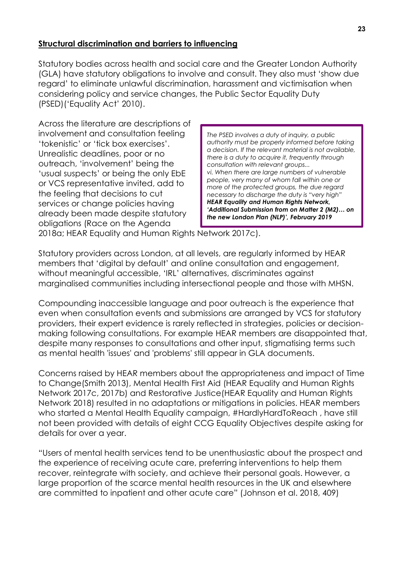## **Structural discrimination and barriers to influencing**

Statutory bodies across health and social care and the Greater London Authority (GLA) have statutory obligations to involve and consult. They also must 'show due regard' to eliminate unlawful discrimination, harassment and victimisation when considering policy and service changes, the Public Sector Equality Duty (PSED)('Equality Act' 2010).

Across the literature are descriptions of involvement and consultation feeling 'tokenistic' or 'tick box exercises'. Unrealistic deadlines, poor or no outreach, 'involvement' being the 'usual suspects' or being the only EbE or VCS representative invited, add to the feeling that decisions to cut services or change policies having already been made despite statutory obligations (Race on the Agenda

*The PSED involves a duty of inquiry, a public authority must be properly informed before taking a decision. If the relevant material is not available, there is a duty to acquire it, frequently through consultation with relevant groups... vi. When there are large numbers of vulnerable people, very many of whom fall within one or more of the protected groups, the due regard necessary to discharge the duty is "very high" HEAR Equality and Human Rights Network, 'Additional Submission from on Matter 2 (M2)… on the new London Plan (NLP)', February 2019*

2018a; HEAR Equality and Human Rights Network 2017c).

Statutory providers across London, at all levels, are regularly informed by HEAR members that 'digital by default' and online consultation and engagement, without meaningful accessible, 'IRL' alternatives, discriminates against marginalised communities including intersectional people and those with MHSN.

Compounding inaccessible language and poor outreach is the experience that even when consultation events and submissions are arranged by VCS for statutory providers, their expert evidence is rarely reflected in strategies, policies or decisionmaking following consultations. For example HEAR members are disappointed that, despite many responses to consultations and other input, stigmatising terms such as mental health 'issues' and 'problems' still appear in GLA documents.

Concerns raised by HEAR members about the appropriateness and impact of Time to Change(Smith 2013), Mental Health First Aid (HEAR Equality and Human Rights Network 2017c, 2017b) and Restorative Justice(HEAR Equality and Human Rights Network 2018) resulted in no adaptations or mitigations in policies. HEAR members who started a Mental Health Equality campaign, #HardlyHardToReach, have still not been provided with details of eight CCG Equality Objectives despite asking for details for over a year.

"Users of mental health services tend to be unenthusiastic about the prospect and the experience of receiving acute care, preferring interventions to help them recover, reintegrate with society, and achieve their personal goals. However, a large proportion of the scarce mental health resources in the UK and elsewhere are committed to inpatient and other acute care" (Johnson et al. 2018, 409)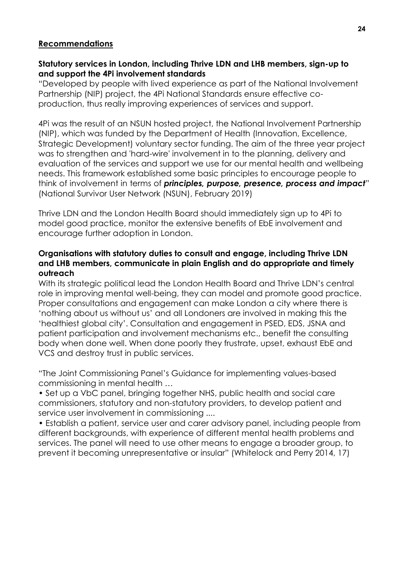#### **Recommendations**

## **Statutory services in London, including Thrive LDN and LHB members, sign-up to and support the 4Pi involvement standards**

"Developed by people with lived experience as part of the National Involvement Partnership (NIP) project, the 4Pi National Standards ensure effective coproduction, thus really improving experiences of services and support.

4Pi was the result of an NSUN hosted project, the National Involvement Partnership (NIP), which was funded by the Department of Health (Innovation, Excellence, Strategic Development) voluntary sector funding. The aim of the three year project was to strengthen and 'hard-wire' involvement in to the planning, delivery and evaluation of the services and support we use for our mental health and wellbeing needs. This framework established some basic principles to encourage people to think of involvement in terms of *principles, purpose, presence, process and impact*" (National Survivor User Network (NSUN), February 2019)

Thrive LDN and the London Health Board should immediately sign up to 4Pi to model good practice, monitor the extensive benefits of EbE involvement and encourage further adoption in London.

## **Organisations with statutory duties to consult and engage, including Thrive LDN and LHB members, communicate in plain English and do appropriate and timely outreach**

With its strategic political lead the London Health Board and Thrive LDN's central role in improving mental well-being, they can model and promote good practice. Proper consultations and engagement can make London a city where there is 'nothing about us without us' and all Londoners are involved in making this the 'healthiest global city'. Consultation and engagement in PSED, EDS, JSNA and patient participation and involvement mechanisms etc., benefit the consulting body when done well. When done poorly they frustrate, upset, exhaust EbE and VCS and destroy trust in public services.

"The Joint Commissioning Panel's Guidance for implementing values-based commissioning in mental health …

• Set up a VbC panel, bringing together NHS, public health and social care commissioners, statutory and non-statutory providers, to develop patient and service user involvement in commissioning ....

• Establish a patient, service user and carer advisory panel, including people from different backgrounds, with experience of different mental health problems and services. The panel will need to use other means to engage a broader group, to prevent it becoming unrepresentative or insular" (Whitelock and Perry 2014, 17)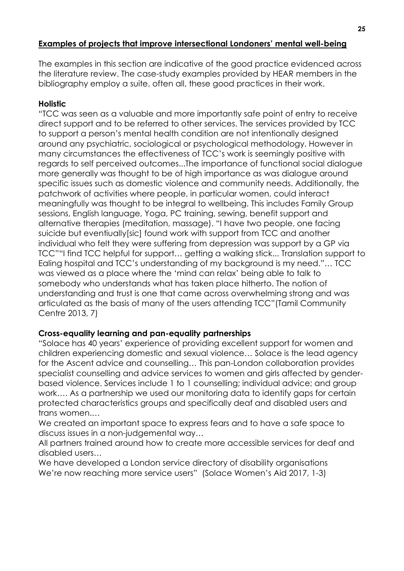## **Examples of projects that improve intersectional Londoners' mental well-being**

The examples in this section are indicative of the good practice evidenced across the literature review. The case-study examples provided by HEAR members in the bibliography employ a suite, often all, these good practices in their work.

## **Holistic**

"TCC was seen as a valuable and more importantly safe point of entry to receive direct support and to be referred to other services. The services provided by TCC to support a person's mental health condition are not intentionally designed around any psychiatric, sociological or psychological methodology. However in many circumstances the effectiveness of TCC's work is seemingly positive with regards to self perceived outcomes...The importance of functional social dialogue more generally was thought to be of high importance as was dialogue around specific issues such as domestic violence and community needs. Additionally, the patchwork of activities where people, in particular women, could interact meaningfully was thought to be integral to wellbeing. This includes Family Group sessions, English language, Yoga, PC training, sewing, benefit support and alternative therapies (meditation, massage). "I have two people, one facing suicide but eventiually[sic] found work with support from TCC and another individual who felt they were suffering from depression was support by a GP via TCC""I find TCC helpful for support... getting a walking stick... Translation support to Ealing hospital and TCC's understanding of my background is my need."… TCC was viewed as a place where the 'mind can relax' being able to talk to somebody who understands what has taken place hitherto. The notion of understanding and trust is one that came across overwhelming strong and was articulated as the basis of many of the users attending TCC"(Tamil Community Centre 2013, 7)

## **Cross-equality learning and pan-equality partnerships**

"Solace has 40 years' experience of providing excellent support for women and children experiencing domestic and sexual violence… Solace is the lead agency for the Ascent advice and counselling… This pan-London collaboration provides specialist counselling and advice services to women and girls affected by genderbased violence. Services include 1 to 1 counselling; individual advice; and group work…. As a partnership we used our monitoring data to identify gaps for certain protected characteristics groups and specifically deaf and disabled users and trans women.…

We created an important space to express fears and to have a safe space to discuss issues in a non-judgemental way…

All partners trained around how to create more accessible services for deaf and disabled users…

We have developed a London service directory of disability organisations We're now reaching more service users" (Solace Women's Aid 2017, 1-3)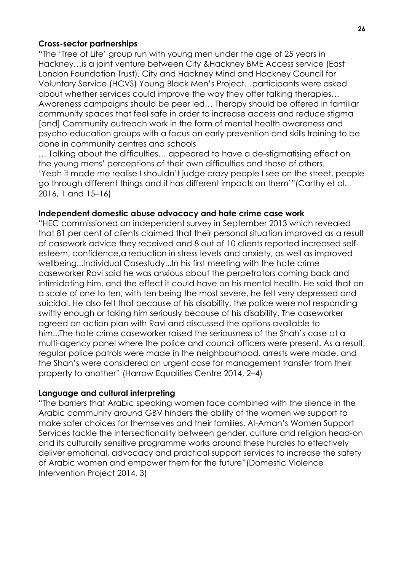## **Cross-sector partnerships**

"The 'Tree of Life' group run with young men under the age of 25 years in Hackney…is a joint venture between City &Hackney BME Access service (East London Foundation Trust), City and Hackney Mind and Hackney Council for Voluntary Service (HCVS) Young Black Men's Project…participants were asked about whether services could improve the way they offer talking therapies… Awareness campaigns should be peer led… Therapy should be offered in familiar community spaces that feel safe in order to increase access and reduce stigma [and] Community outreach work in the form of mental health awareness and psycho-education groups with a focus on early prevention and skills training to be done in community centres and schools

... Talking about the difficulties... appeared to have a de-stigmatising effect on the young mens' perceptions of their own difficulties and those of others. 'Yeah it made me realise I shouldn't judge crazy people I see on the street, people go through different things and it has different impacts on them'"(Carthy et al. 2016, 1 and 15–16)

#### **Independent domestic abuse advocacy and hate crime case work**

"HEC commissioned an independent survey in September 2013 which revealed that 81 per cent of clients claimed that their personal situation improved as a result of casework advice they received and 8 out of 10 clients reported increased selfesteem, confidence,a reduction in stress levels and anxiety, as well as improved wellbeing...Individual Casestudy...In his first meeting with the hate crime caseworker Ravi said he was anxious about the perpetrators coming back and intimidating him, and the effect it could have on his mental health. He said that on a scale of one to ten, with ten being the most severe, he felt very depressed and suicidal. He also felt that because of his disability, the police were not responding swiftly enough or taking him seriously because of his disability. The caseworker agreed an action plan with Ravi and discussed the options available to him...The hate crime caseworker raised the seriousness of the Shah's case at a multi-agency panel where the police and council officers were present. As a result, regular police patrols were made in the neighbourhood, arrests were made, and the Shah's were considered an urgent case for management transfer from their property to another" (Harrow Equalities Centre 2014, 2–4)

#### **Language and cultural interpreting**

"The barriers that Arabic speaking women face combined with the silence in the Arabic community around GBV hinders the ability of the women we support to make safer choices for themselves and their families. Al-Aman's Women Support Services tackle the intersectionality between gender, culture and religion head-on and its culturally sensitive programme works around these hurdles to effectively deliver emotional, advocacy and practical support services to increase the safety of Arabic women and empower them for the future"(Domestic Violence Intervention Project 2014, 3)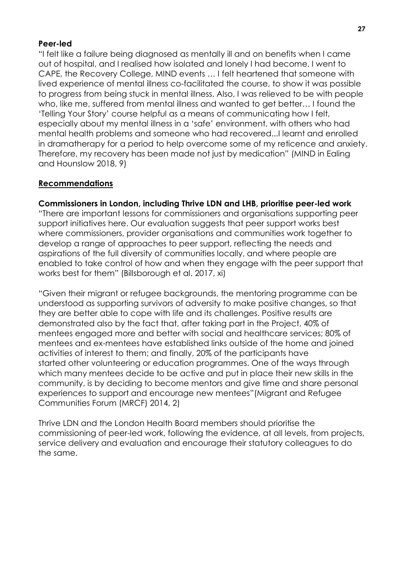#### **Peer-led**

"I felt like a failure being diagnosed as mentally ill and on benefits when I came out of hospital, and I realised how isolated and lonely I had become. I went to CAPE, the Recovery College, MIND events … I felt heartened that someone with lived experience of mental illness co-facilitated the course, to show it was possible to progress from being stuck in mental illness. Also, I was relieved to be with people who, like me, suffered from mental illness and wanted to get better… I found the 'Telling Your Story' course helpful as a means of communicating how I felt, especially about my mental illness in a 'safe' environment, with others who had mental health problems and someone who had recovered...I learnt and enrolled in dramatherapy for a period to help overcome some of my reticence and anxiety. Therefore, my recovery has been made not just by medication" (MIND in Ealing and Hounslow 2018, 9)

#### **Recommendations**

#### **Commissioners in London, including Thrive LDN and LHB, prioritise peer-led work**

"There are important lessons for commissioners and organisations supporting peer support initiatives here. Our evaluation suggests that peer support works best where commissioners, provider organisations and communities work together to develop a range of approaches to peer support, reflecting the needs and aspirations of the full diversity of communities locally, and where people are enabled to take control of how and when they engage with the peer support that works best for them" (Billsborough et al. 2017, xi)

"Given their migrant or refugee backgrounds, the mentoring programme can be understood as supporting survivors of adversity to make positive changes, so that they are better able to cope with life and its challenges. Positive results are demonstrated also by the fact that, after taking part in the Project, 40% of mentees engaged more and better with social and healthcare services; 80% of mentees and ex-mentees have established links outside of the home and joined activities of interest to them; and finally, 20% of the participants have started other volunteering or education programmes. One of the ways through which many mentees decide to be active and put in place their new skills in the community, is by deciding to become mentors and give time and share personal experiences to support and encourage new mentees"(Migrant and Refugee Communities Forum (MRCF) 2014, 2)

Thrive LDN and the London Health Board members should prioritise the commissioning of peer-led work, following the evidence, at all levels, from projects, service delivery and evaluation and encourage their statutory colleagues to do the same.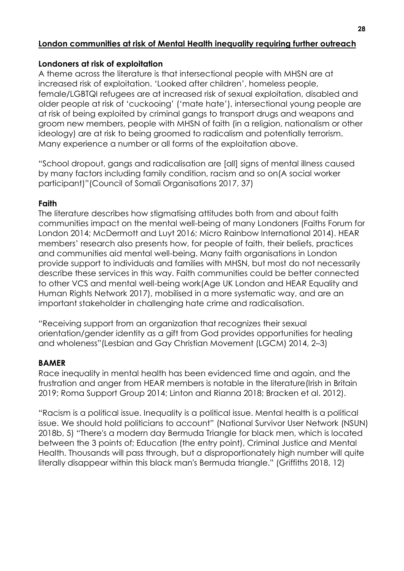## **London communities at risk of Mental Health inequality requiring further outreach**

## **Londoners at risk of exploitation**

A theme across the literature is that intersectional people with MHSN are at increased risk of exploitation. 'Looked after children', homeless people, female/LGBTQI refugees are at increased risk of sexual exploitation, disabled and older people at risk of 'cuckooing' ('mate hate'), intersectional young people are at risk of being exploited by criminal gangs to transport drugs and weapons and groom new members, people with MHSN of faith (in a religion, nationalism or other ideology) are at risk to being groomed to radicalism and potentially terrorism. Many experience a number or all forms of the exploitation above.

"School dropout, gangs and radicalisation are [all] signs of mental illness caused by many factors including family condition, racism and so on(A social worker participant)"(Council of Somali Organisations 2017, 37)

## **Faith**

The literature describes how stigmatising attitudes both from and about faith communities impact on the mental well-being of many Londoners (Faiths Forum for London 2014; McDermott and Luyt 2016; Micro Rainbow International 2014). HEAR members' research also presents how, for people of faith, their beliefs, practices and communities aid mental well-being. Many faith organisations in London provide support to individuals and families with MHSN, but most do not necessarily describe these services in this way. Faith communities could be better connected to other VCS and mental well-being work(Age UK London and HEAR Equality and Human Rights Network 2017), mobilised in a more systematic way, and are an important stakeholder in challenging hate crime and radicalisation.

"Receiving support from an organization that recognizes their sexual orientation/gender identity as a gift from God provides opportunities for healing and wholeness"(Lesbian and Gay Christian Movement (LGCM) 2014, 2–3)

## **BAMER**

Race inequality in mental health has been evidenced time and again, and the frustration and anger from HEAR members is notable in the literature(Irish in Britain 2019; Roma Support Group 2014; Linton and Rianna 2018; Bracken et al. 2012).

"Racism is a political issue. Inequality is a political issue. Mental health is a political issue. We should hold politicians to account" (National Survivor User Network (NSUN) 2018b, 5) "There's a modern day Bermuda Triangle for black men, which is located between the 3 points of; Education (the entry point), Criminal Justice and Mental Health. Thousands will pass through, but a disproportionately high number will quite literally disappear within this black man's Bermuda triangle." (Griffiths 2018, 12)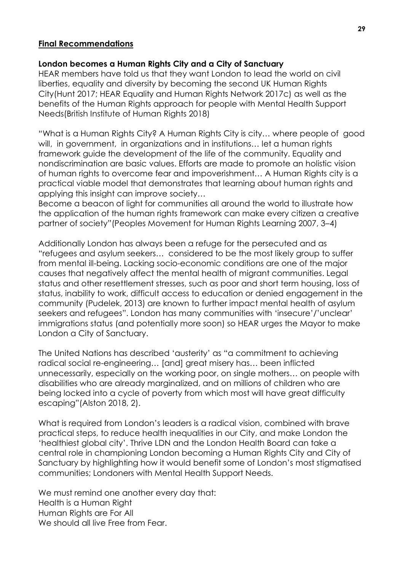#### **Final Recommendations**

#### **London becomes a Human Rights City and a City of Sanctuary**

HEAR members have told us that they want London to lead the world on civil liberties, equality and diversity by becoming the second UK Human Rights City(Hunt 2017; HEAR Equality and Human Rights Network 2017c) as well as the benefits of the Human Rights approach for people with Mental Health Support Needs(British Institute of Human Rights 2018)

"What is a Human Rights City? A Human Rights City is city… where people of good will, in government, in organizations and in institutions… let a human rights framework guide the development of the life of the community. Equality and nondiscrimination are basic values. Efforts are made to promote an holistic vision of human rights to overcome fear and impoverishment… A Human Rights city is a practical viable model that demonstrates that learning about human rights and applying this insight can improve society…

Become a beacon of light for communities all around the world to illustrate how the application of the human rights framework can make every citizen a creative partner of society"(Peoples Movement for Human Rights Learning 2007, 3–4)

Additionally London has always been a refuge for the persecuted and as "refugees and asylum seekers… considered to be the most likely group to suffer from mental ill-being. Lacking socio-economic conditions are one of the major causes that negatively affect the mental health of migrant communities. Legal status and other resettlement stresses, such as poor and short term housing, loss of status, inability to work, difficult access to education or denied engagement in the community (Pudelek, 2013) are known to further impact mental health of asylum seekers and refugees". London has many communities with 'insecure'/'unclear' immigrations status (and potentially more soon) so HEAR urges the Mayor to make London a City of Sanctuary.

The United Nations has described 'austerity' as "a commitment to achieving radical social re-engineering… [and] great misery has… been inflicted unnecessarily, especially on the working poor, on single mothers… on people with disabilities who are already marginalized, and on millions of children who are being locked into a cycle of poverty from which most will have great difficulty escaping"(Alston 2018, 2).

What is required from London's leaders is a radical vision, combined with brave practical steps, to reduce health inequalities in our City, and make London the 'healthiest global city'. Thrive LDN and the London Health Board can take a central role in championing London becoming a Human Rights City and City of Sanctuary by highlighting how it would benefit some of London's most stigmatised communities; Londoners with Mental Health Support Needs.

We must remind one another every day that: Health is a Human Right Human Rights are For All We should all live Free from Fear.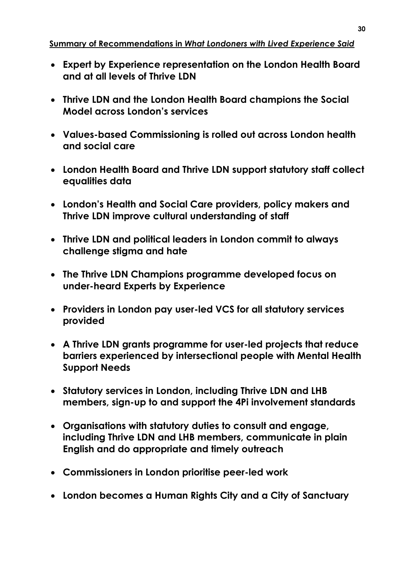## **Summary of Recommendations in** *What Londoners with Lived Experience Said*

- **Expert by Experience representation on the London Health Board and at all levels of Thrive LDN**
- **Thrive LDN and the London Health Board champions the Social Model across London's services**
- **Values-based Commissioning is rolled out across London health and social care**
- **London Health Board and Thrive LDN support statutory staff collect equalities data**
- **London's Health and Social Care providers, policy makers and Thrive LDN improve cultural understanding of staff**
- **Thrive LDN and political leaders in London commit to always challenge stigma and hate**
- **The Thrive LDN Champions programme developed focus on under-heard Experts by Experience**
- **Providers in London pay user-led VCS for all statutory services provided**
- **A Thrive LDN grants programme for user-led projects that reduce barriers experienced by intersectional people with Mental Health Support Needs**
- **Statutory services in London, including Thrive LDN and LHB members, sign-up to and support the 4Pi involvement standards**
- **Organisations with statutory duties to consult and engage, including Thrive LDN and LHB members, communicate in plain English and do appropriate and timely outreach**
- **Commissioners in London prioritise peer-led work**
- **London becomes a Human Rights City and a City of Sanctuary**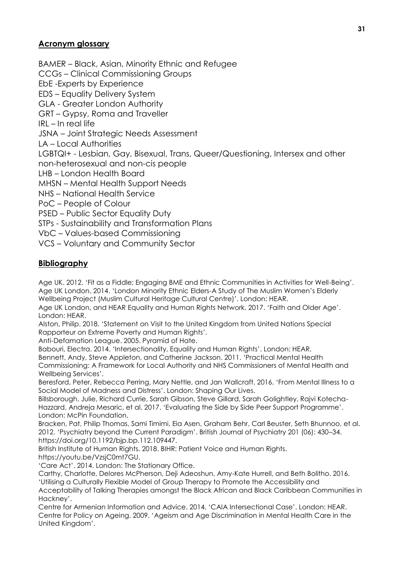## **Acronym glossary**

BAMER – Black, Asian, Minority Ethnic and Refugee CCGs – Clinical Commissioning Groups EbE -Experts by Experience EDS – Equality Delivery System GLA - Greater London Authority GRT – Gypsy, Roma and Traveller  $IRI - In$  real life JSNA – Joint Strategic Needs Assessment LA – Local Authorities LGBTQI+ - Lesbian, Gay, Bisexual, Trans, Queer/Questioning, Intersex and other non-heterosexual and non-cis people LHB – London Health Board MHSN – Mental Health Support Needs NHS – National Health Service PoC – People of Colour PSED – Public Sector Equality Duty STPs - Sustainability and Transformation Plans VbC – Values-based Commissioning VCS – Voluntary and Community Sector

## **Bibliography**

Age UK. 2012. 'Fit as a Fiddle; Engaging BME and Ethnic Communities in Activities for Well-Being'. Age UK London. 2014. 'London Minority Ethnic Elders-A Study of The Muslim Women's Elderly Wellbeing Project (Muslim Cultural Heritage Cultural Centre)'. London: HEAR.

Age UK London, and HEAR Equality and Human Rights Network. 2017. 'Faith and Older Age'. London: HEAR.

Alston, Philip. 2018. 'Statement on Visit to the United Kingdom from United Nations Special Rapporteur on Extreme Poverty and Human Rights'.

Anti-Defamation League. 2005. Pyramid of Hate.

Babouri, Electra. 2014. 'Intersectionality, Equality and Human Rights'. London: HEAR. Bennett, Andy, Steve Appleton, and Catherine Jackson. 2011. 'Practical Mental Health Commissioning: A Framework for Local Authority and NHS Commissioners of Mental Health and Wellbeing Services'.

Beresford, Peter, Rebecca Perring, Mary Nettle, and Jan Wallcraft. 2016. 'From Mental Illness to a Social Model of Madness and Distress'. London: Shaping Our Lives.

Billsborough, Julie, Richard Currie, Sarah Gibson, Steve Gillard, Sarah Golightley, Rajvi Kotecha-Hazzard, Andreja Mesaric, et al. 2017. 'Evaluating the Side by Side Peer Support Programme'. London: McPin Foundation.

Bracken, Pat, Philip Thomas, Sami Timimi, Eia Asen, Graham Behr, Carl Beuster, Seth Bhunnoo, et al. 2012. 'Psychiatry beyond the Current Paradigm'. British Journal of Psychiatry 201 (06): 430–34. https://doi.org/10.1192/bjp.bp.112.109447.

British Institute of Human Rights. 2018. BIHR: Patient Voice and Human Rights. https://youtu.be/VzsjC0mt7GU.

'Care Act'. 2014. London: The Stationary Office.

Carthy, Charlotte, Delores McPherson, Deji Adeoshun, Amy-Kate Hurrell, and Beth Bolitho. 2016. 'Utilising a Culturally Flexible Model of Group Therapy to Promote the Accessibility and Acceptability of Talking Therapies amongst the Black African and Black Caribbean Communities in Hackney'.

Centre for Armenian Information and Advice. 2014. 'CAIA Intersectional Case'. London: HEAR. Centre for Policy on Ageing. 2009. 'Ageism and Age Discrimination in Mental Health Care in the United Kingdom'.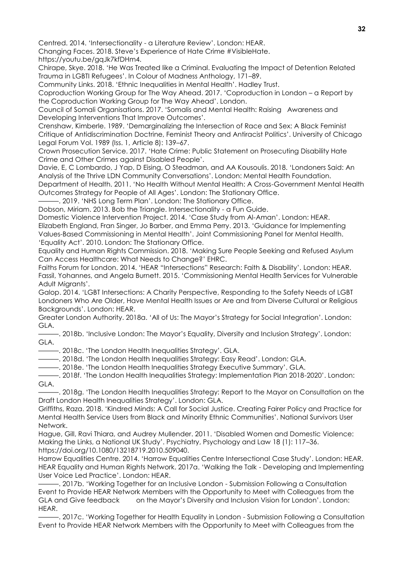Centred. 2014. 'Intersectionality - a Literature Review'. London: HEAR.

Changing Faces. 2018. Steve's Experience of Hate Crime #VisibleHate. https://youtu.be/gqJk7kfDHm4.

Chirape, Skye. 2018. 'He Was Treated like a Criminal. Evaluating the Impact of Detention Related Trauma in LGBTI Refugees'. In Colour of Madness Anthology, 171–89.

Community Links. 2018. 'Ethnic Inequalities in Mental Health'. Hadley Trust.

Coproduction Working Group for The Way Ahead. 2017. 'Coproduction in London – a Report by the Coproduction Working Group for The Way Ahead'. London.

Council of Somali Organisations. 2017. 'Somalis and Mental Health: Raising Awareness and Developing Interventions That Improve Outcomes'.

Crenshaw, Kimberle. 1989. 'Demarginalizing the Intersection of Race and Sex: A Black Feminist Critique of Antidiscrimination Doctrine, Feminist Theory and Antiracist Politics'. University of Chicago Legal Forum Vol. 1989 (Iss. 1, Article 8): 139–67.

Crown Prosecution Service. 2017. 'Hate Crime: Public Statement on Prosecuting Disability Hate Crime and Other Crimes against Disabled People'.

Davie, E, C Lombardo, J Yap, D Eising, O Steadman, and AA Kousoulis. 2018. 'Londoners Said: An Analysis of the Thrive LDN Community Conversations'. London: Mental Health Foundation. Department of Health. 2011. 'No Health Without Mental Health: A Cross-Government Mental Health

Outcomes Strategy for People of All Ages'. London: The Stationary Office.

. 2019. 'NHS Long Term Plan'. London: The Stationary Office.

Dobson, Miriam. 2013. Bob the Triangle. Intersectionality - a Fun Guide.

Domestic Violence Intervention Project. 2014. 'Case Study from Al-Aman'. London: HEAR. Elizabeth England, Fran Singer, Jo Barber, and Emma Perry. 2013. 'Guidance for Implementing Values-Based Commissioning in Mental Health'. Joint Commissioning Panel for Mental Health. 'Equality Act'. 2010. London: The Stationary Office.

Equality and Human Rights Commission. 2018. 'Making Sure People Seeking and Refused Asylum Can Access Healthcare: What Needs to Change?' EHRC.

Faiths Forum for London. 2014. 'HEAR "Intersections" Research: Faith & Disability'. London: HEAR. Fassil, Yohannes, and Angela Burnett. 2015. 'Commissioning Mental Health Services for Vulnerable Adult Migrants'.

Galop. 2014. 'LGBT Intersections: A Charity Perspective, Responding to the Safety Needs of LGBT Londoners Who Are Older, Have Mental Health Issues or Are and from Diverse Cultural or Religious Backgrounds'. London: HEAR.

Greater London Authority. 2018a. 'All of Us: The Mayor's Strategy for Social Integration'. London: GLA.

———. 2018b. 'Inclusive London: The Mayor's Equality, Diversity and Inclusion Strategy'. London: GLA.

———. 2018c. 'The London Health Inequalities Strategy'. GLA.

———. 2018d. 'The London Health Inequalities Strategy: Easy Read'. London: GLA.

———. 2018e. 'The London Health Inequalities Strategy Executive Summary'. GLA.

———. 2018f. 'The London Health Inequalities Strategy: Implementation Plan 2018-2020'. London: GLA.

———. 2018g. 'The London Health Inequalities Strategy: Report to the Mayor on Consultation on the Draft London Health Inequalities Strategy'. London: GLA.

Griffiths, Raza. 2018. 'Kindred Minds: A Call for Social Justice. Creating Fairer Policy and Practice for Mental Health Service Users from Black and Minority Ethnic Communities'. National Survivors User Network.

Hague, Gill, Ravi Thiara, and Audrey Mullender. 2011. 'Disabled Women and Domestic Violence: Making the Links, a National UK Study'. Psychiatry, Psychology and Law 18 (1): 117–36. https://doi.org/10.1080/13218719.2010.509040.

Harrow Equalities Centre. 2014. 'Harrow Equalities Centre Intersectional Case Study'. London: HEAR. HEAR Equality and Human Rights Network. 2017a. 'Walking the Talk - Developing and Implementing User Voice Led Practice'. London: HEAR.

———. 2017b. 'Working Together for an Inclusive London - Submission Following a Consultation Event to Provide HEAR Network Members with the Opportunity to Meet with Colleagues from the GLA and Give feedback on the Mayor's Diversity and Inclusion Vision for London'. London: HEAR.

———. 2017c. 'Working Together for Health Equality in London - Submission Following a Consultation Event to Provide HEAR Network Members with the Opportunity to Meet with Colleagues from the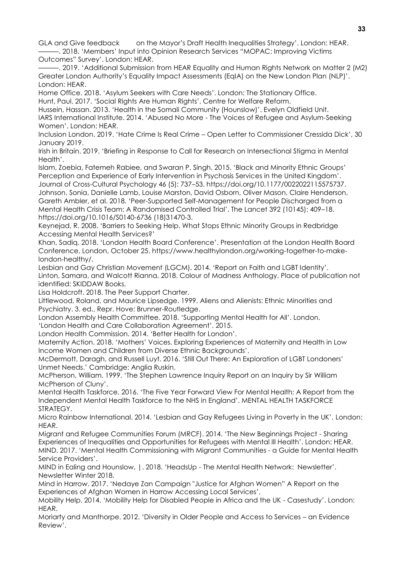GLA and Give feedback on the Mayor's Draft Health Inequalities Strategy'. London: HEAR. ———. 2018. 'Members' Input into Opinion Research Services "MOPAC: Improving Victims

Outcomes" Survey'. London: HEAR. ———. 2019. 'Additional Submission from HEAR Equality and Human Rights Network on Matter 2 (M2) Greater London Authority's Equality Impact Assessments (EqIA) on the New London Plan (NLP)'. London: HEAR.

Home Office. 2018. 'Asylum Seekers with Care Needs'. London: The Stationary Office.

Hunt, Paul. 2017. 'Social Rights Are Human Rights'. Centre for Welfare Reform.

Hussein, Hassan. 2013. 'Health in the Somali Community (Hounslow)'. Evelyn Oldfield Unit. IARS International Institute. 2014. 'Abused No More - The Voices of Refugee and Asylum-Seeking Women'. London: HEAR.

Inclusion London. 2019. 'Hate Crime Is Real Crime - Open Letter to Commissioner Cressida Dick', 30 January 2019.

Irish in Britain. 2019. 'Briefing in Response to Call for Research on Intersectional Stigma in Mental Health'.

Islam, Zoebia, Fatemeh Rabiee, and Swaran P. Singh. 2015. 'Black and Minority Ethnic Groups' Perception and Experience of Early Intervention in Psychosis Services in the United Kingdom'. Journal of Cross-Cultural Psychology 46 (5): 737–53. https://doi.org/10.1177/0022022115575737. Johnson, Sonia, Danielle Lamb, Louise Marston, David Osborn, Oliver Mason, Claire Henderson, Gareth Ambler, et al. 2018. 'Peer-Supported Self-Management for People Discharged from a Mental Health Crisis Team: A Randomised Controlled Trial'. The Lancet 392 (10145): 409–18.

https://doi.org/10.1016/S0140-6736 (18)31470-3.

Keynejad, R. 2008. 'Barriers to Seeking Help. What Stops Ethnic Minority Groups in Redbridge Accessing Mental Health Services?'

Khan, Sadiq. 2018. 'London Health Board Conference'. Presentation at the London Health Board Conference, London, October 25. https://www.healthylondon.org/working-together-to-makelondon-healthy/.

Lesbian and Gay Christian Movement (LGCM). 2014. 'Report on Faith and LGBT Identity'. Linton, Samara, and Walcott Rianna. 2018. Colour of Madness Anthology. Place of publication not identified: SKIDDAW Books.

Lisa Holdcroft. 2018. The Peer Support Charter.

Littlewood, Roland, and Maurice Lipsedge. 1999. Aliens and Alienists: Ethnic Minorities and Psychiatry. 3. ed., Repr. Hove: Brunner-Routledge.

London Assembly Health Committee. 2018. 'Supporting Mental Health for All'. London.

'London Health and Care Collaboration Agreement'. 2015.

London Health Commission. 2014. 'Better Health for London'.

Maternity Action. 2018. 'Mothers' Voices. Exploring Experiences of Maternity and Health in Low Income Women and Children from Diverse Ethnic Backgrounds'.

McDermott, Daragh, and Russell Luyt. 2016. 'Still Out There: An Exploration of LGBT Londoners' Unmet Needs.' Cambridge: Anglia Ruskin.

McPherson, William. 1999. 'The Stephen Lawrence Inquiry Report on an Inquiry by Sir William McPherson of Cluny'.

Mental Health Taskforce. 2016. 'The Five Year Forward View For Mental Health: A Report from the Independent Mental Health Taskforce to the NHS in England'. MENTAL HEALTH TASKFORCE STRATEGY.

Micro Rainbow International. 2014. 'Lesbian and Gay Refugees Living in Poverty in the UK'. London: HEAR.

Migrant and Refugee Communities Forum (MRCF). 2014. 'The New Beginnings Project - Sharing Experiences of Inequalities and Opportunities for Refugees with Mental Ill Health'. London: HEAR. MIND. 2017. 'Mental Health Commissioning with Migrant Communities - a Guide for Mental Health Service Providers'.

MIND in Ealing and Hounslow, |. 2018. 'HeadsUp - The Mental Health Network: Newsletter'. Newsletter Winter 2018.

Mind in Harrow. 2017. 'Nedaye Zan Campaign "Justice for Afghan Women" A Report on the Experiences of Afghan Women in Harrow Accessing Local Services'.

Mobility Help. 2014. 'Mobility Help for Disabled People in Africa and the UK - Casestudy'. London: HEAR.

Moriarty and Manthorpe. 2012. 'Diversity in Older People and Access to Services – an Evidence Review'.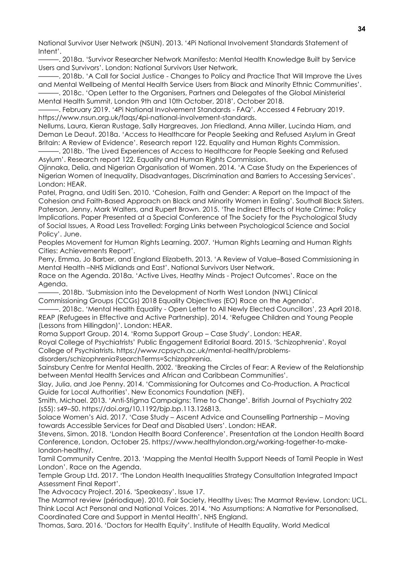National Survivor User Network (NSUN). 2013. '4Pi National Involvement Standards Statement of Intent'.

———. 2018a. 'Survivor Researcher Network Manifesto: Mental Health Knowledge Built by Service Users and Survivors'. London: National Survivors User Network.

———. 2018b. 'A Call for Social Justice - Changes to Policy and Practice That Will Improve the Lives and Mental Wellbeing of Mental Health Service Users from Black and Minority Ethnic Communities'.

———. 2018c. 'Open Letter to the Organisers, Partners and Delegates of the Global Ministerial Mental Health Summit, London 9th and 10th October, 2018', October 2018.

———. February 2019. '4Pi National Involvement Standards - FAQ'. Accessed 4 February 2019. https://www.nsun.org.uk/faqs/4pi-national-involvement-standards.

Nellums, Laura, Kieran Rustage, Sally Hargreaves, Jon Friedland, Anna Miller, Lucinda Hiam, and Deman Le Deaut. 2018a. 'Access to Healthcare for People Seeking and Refused Asylum in Great Britain: A Review of Evidence'. Research report 122. Equality and Human Rights Commission.

-, 2018b. 'The Lived Experiences of Access to Healthcare for People Seeking and Refused Asylum'. Research report 122. Equality and Human Rights Commission.

Ojinnaka, Delia, and Nigerian Organisation of Women. 2014. 'A Case Study on the Experiences of Nigerian Women of Inequality, Disadvantages, Discrimination and Barriers to Accessing Services'. London: HEAR.

Patel, Pragna, and Uditi Sen. 2010. 'Cohesion, Faith and Gender: A Report on the Impact of the Cohesion and Faith-Based Approach on Black and Minority Women in Ealing'. Southall Black Sisters. Paterson, Jenny, Mark Walters, and Rupert Brown. 2015. 'The Indirect Effects of Hate Crime: Policy Implications. Paper Presented at a Special Conference of The Society for the Psychological Study of Social Issues, A Road Less Travelled: Forging Links between Psychological Science and Social Policy'. June.

Peoples Movement for Human Rights Learning. 2007. 'Human Rights Learning and Human Rights Cities: Achievements Report'.

Perry, Emma, Jo Barber, and England Elizabeth. 2013. 'A Review of Value–Based Commissioning in Mental Health –NHS Midlands and East'. National Survivors User Network.

Race on the Agenda. 2018a. 'Active Lives, Heathy Minds - Project Outcomes'. Race on the Agenda.

———. 2018b. 'Submission into the Development of North West London (NWL) Clinical Commissioning Groups (CCGs) 2018 Equality Objectives (EO) Race on the Agenda'.

-, 2018c. 'Mental Health Equality - Open Letter to All Newly Elected Councillors', 23 April 2018. REAP (Refugees in Effective and Active Partnership). 2014. 'Refugee Children and Young People (Lessons from Hillingdon)'. London: HEAR.

Roma Support Group. 2014. 'Roma Support Group – Case Study'. London: HEAR.

Royal College of Psychiatrists' Public Engagement Editorial Board. 2015. 'Schizophrenia'. Royal College of Psychiatrists. https://www.rcpsych.ac.uk/mental-health/problems-

disorders/schizophrenia?searchTerms=Schizophrenia.

Sainsbury Centre for Mental Health. 2002. 'Breaking the Circles of Fear: A Review of the Relationship between Mental Health Services and African and Caribbean Communities'.

Slay, Julia, and Joe Penny. 2014. 'Commissioning for Outcomes and Co-Production. A Practical Guide for Local Authorities'. New Economics Foundation (NEF).

Smith, Michael. 2013. 'Anti-Stigma Campaigns: Time to Change'. British Journal of Psychiatry 202 (s55): s49–50. https://doi.org/10.1192/bjp.bp.113.126813.

Solace Women's Aid. 2017. 'Case Study – Ascent Advice and Counselling Partnership – Moving towards Accessible Services for Deaf and Disabled Users'. London: HEAR.

Stevens, Simon. 2018. 'London Health Board Conference'. Presentation at the London Health Board Conference, London, October 25. https://www.healthylondon.org/working-together-to-makelondon-healthy/.

Tamil Community Centre. 2013. 'Mapping the Mental Health Support Needs of Tamil People in West London'. Race on the Agenda.

Temple Group Ltd. 2017. 'The London Health Inequalities Strategy Consultation Integrated Impact Assessment Final Report'.

The Advocacy Project. 2016. 'Speakeasy'. Issue 17.

The Marmot review (périodique). 2010. Fair Society, Healthy Lives: The Marmot Review. London: UCL. Think Local Act Personal and National Voices. 2014. 'No Assumptions: A Narrative for Personalised, Coordinated Care and Support in Mental Health'. NHS England.

Thomas, Sara. 2016. 'Doctors for Health Equity'. Institute of Health Equality, World Medical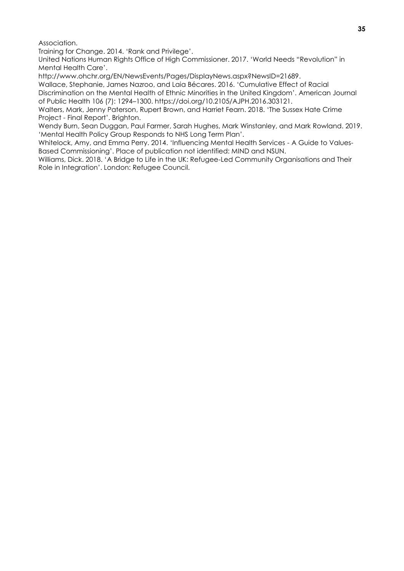Association.

Training for Change. 2014. 'Rank and Privilege'.

United Nations Human Rights Office of High Commissioner. 2017. 'World Needs "Revolution" in Mental Health Care'.

http://www.ohchr.org/EN/NewsEvents/Pages/DisplayNews.aspx?NewsID=21689.

Wallace, Stephanie, James Nazroo, and Laia Bécares. 2016. 'Cumulative Effect of Racial Discrimination on the Mental Health of Ethnic Minorities in the United Kingdom'. American Journal of Public Health 106 (7): 1294–1300. https://doi.org/10.2105/AJPH.2016.303121.

Walters, Mark, Jenny Paterson, Rupert Brown, and Harriet Fearn. 2018. 'The Sussex Hate Crime Project - Final Report'. Brighton.

Wendy Burn, Sean Duggan, Paul Farmer, Sarah Hughes, Mark Winstanley, and Mark Rowland. 2019. 'Mental Health Policy Group Responds to NHS Long Term Plan'.

Whitelock, Amy, and Emma Perry. 2014. 'Influencing Mental Health Services - A Guide to Values-Based Commissioning'. Place of publication not identified: MIND and NSUN.

Williams, Dick. 2018. 'A Bridge to Life in the UK: Refugee-Led Community Organisations and Their Role in Integration'. London: Refugee Council.